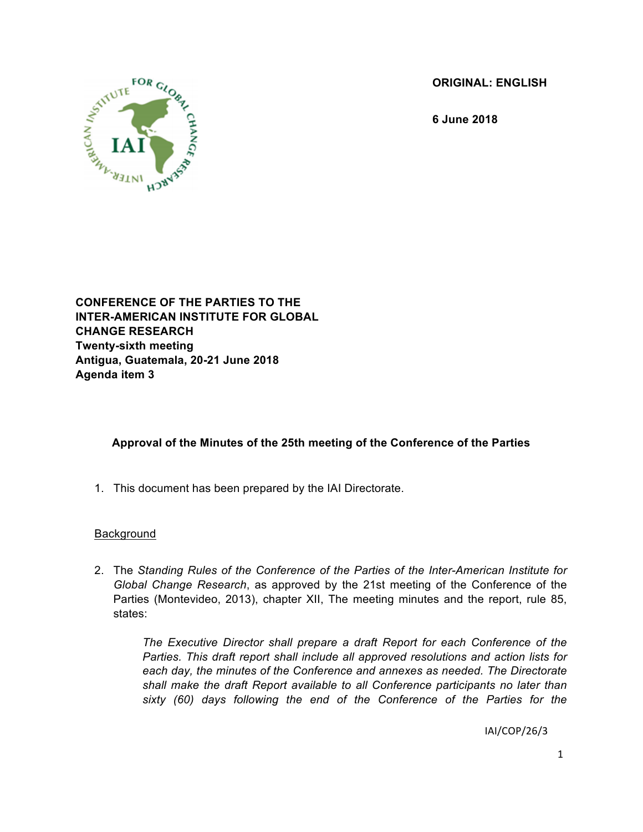**ORIGINAL: ENGLISH**

**6 June 2018**



**CONFERENCE OF THE PARTIES TO THE INTER-AMERICAN INSTITUTE FOR GLOBAL CHANGE RESEARCH Twenty-sixth meeting Antigua, Guatemala, 20-21 June 2018 Agenda item 3**

# **Approval of the Minutes of the 25th meeting of the Conference of the Parties**

1. This document has been prepared by the IAI Directorate.

#### Background

2. The *Standing Rules of the Conference of the Parties of the Inter-American Institute for Global Change Research*, as approved by the 21st meeting of the Conference of the Parties (Montevideo, 2013), chapter XII, The meeting minutes and the report, rule 85, states:

*The Executive Director shall prepare a draft Report for each Conference of the Parties. This draft report shall include all approved resolutions and action lists for each day, the minutes of the Conference and annexes as needed. The Directorate shall make the draft Report available to all Conference participants no later than sixty (60) days following the end of the Conference of the Parties for the*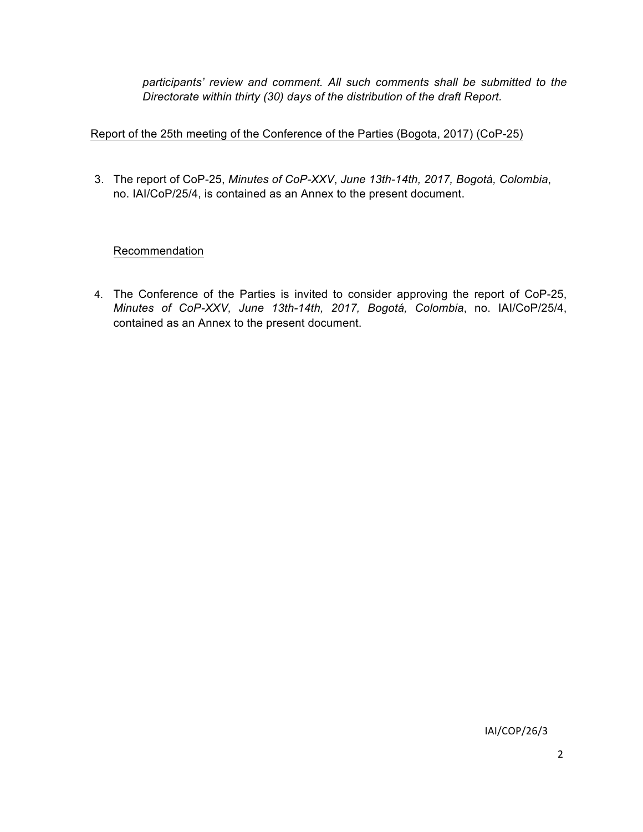*participants' review and comment. All such comments shall be submitted to the Directorate within thirty (30) days of the distribution of the draft Report.*

# Report of the 25th meeting of the Conference of the Parties (Bogota, 2017) (CoP-25)

3. The report of CoP-25, *Minutes of CoP-XXV*, *June 13th-14th, 2017, Bogotá, Colombia*, no. IAI/CoP/25/4, is contained as an Annex to the present document.

#### Recommendation

4. The Conference of the Parties is invited to consider approving the report of CoP-25, *Minutes of CoP-XXV, June 13th-14th, 2017, Bogotá, Colombia*, no. IAI/CoP/25/4, contained as an Annex to the present document.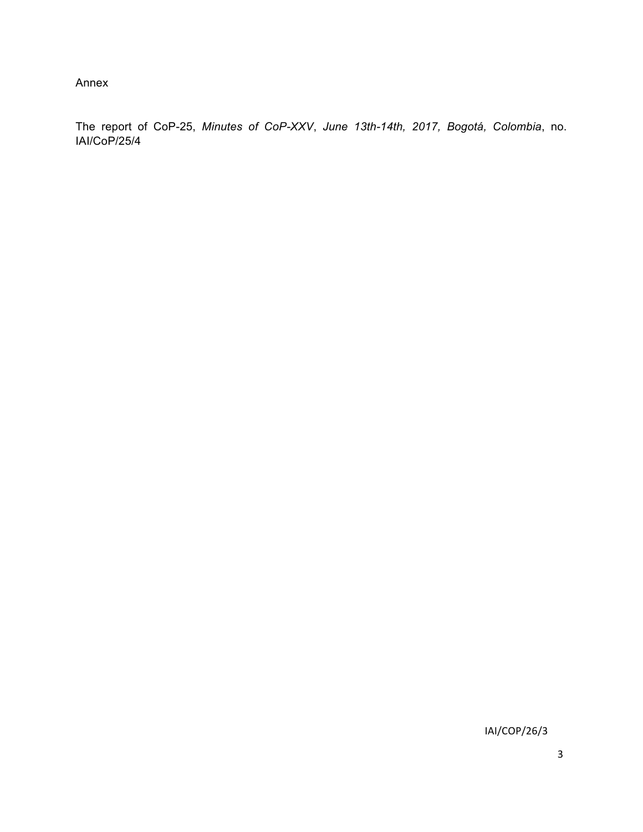Annex

The report of CoP-25, *Minutes of CoP-XXV*, *June 13th-14th, 2017, Bogotá, Colombia*, no. IAI/CoP/25/4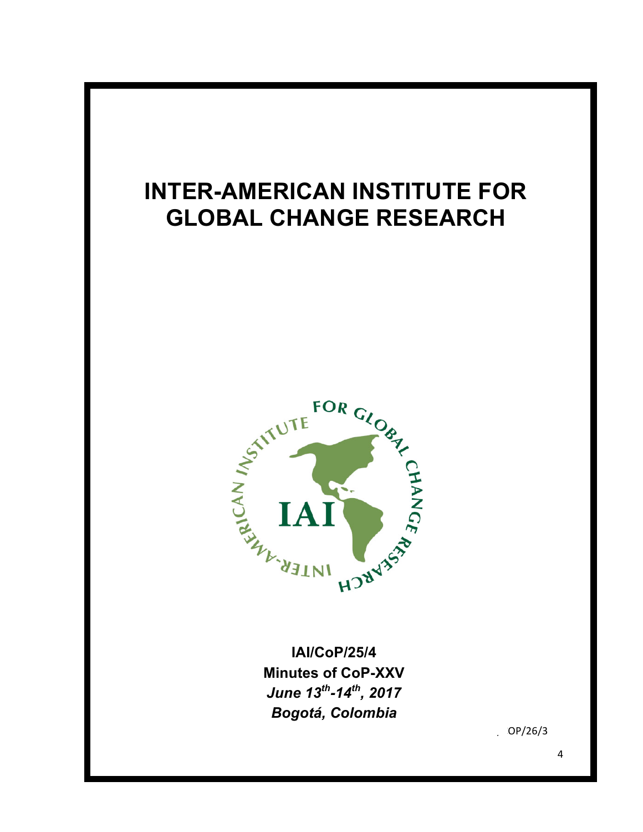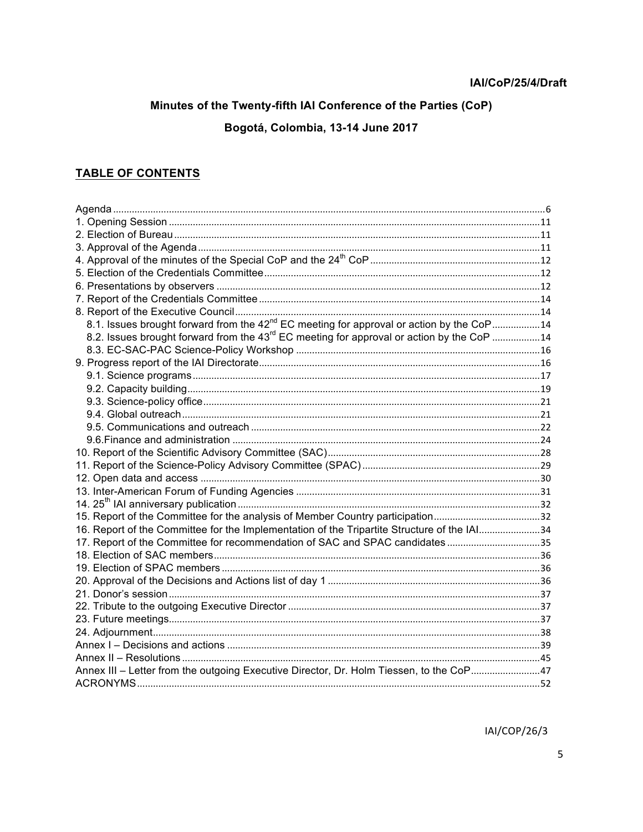# Minutes of the Twenty-fifth IAI Conference of the Parties (CoP)

Bogotá, Colombia, 13-14 June 2017

# **TABLE OF CONTENTS**

| 8.1. Issues brought forward from the 42 <sup>nd</sup> EC meeting for approval or action by the CoP14  |  |
|-------------------------------------------------------------------------------------------------------|--|
| 8.2. Issues brought forward from the 43 <sup>rd</sup> EC meeting for approval or action by the CoP 14 |  |
|                                                                                                       |  |
|                                                                                                       |  |
|                                                                                                       |  |
|                                                                                                       |  |
|                                                                                                       |  |
|                                                                                                       |  |
|                                                                                                       |  |
|                                                                                                       |  |
|                                                                                                       |  |
|                                                                                                       |  |
|                                                                                                       |  |
|                                                                                                       |  |
|                                                                                                       |  |
| 15. Report of the Committee for the analysis of Member Country participation32                        |  |
| 16. Report of the Committee for the Implementation of the Tripartite Structure of the IAI34           |  |
| 17. Report of the Committee for recommendation of SAC and SPAC candidates35                           |  |
|                                                                                                       |  |
|                                                                                                       |  |
|                                                                                                       |  |
|                                                                                                       |  |
|                                                                                                       |  |
|                                                                                                       |  |
|                                                                                                       |  |
|                                                                                                       |  |
|                                                                                                       |  |
| Annex III - Letter from the outgoing Executive Director, Dr. Holm Tiessen, to the CoP47               |  |
|                                                                                                       |  |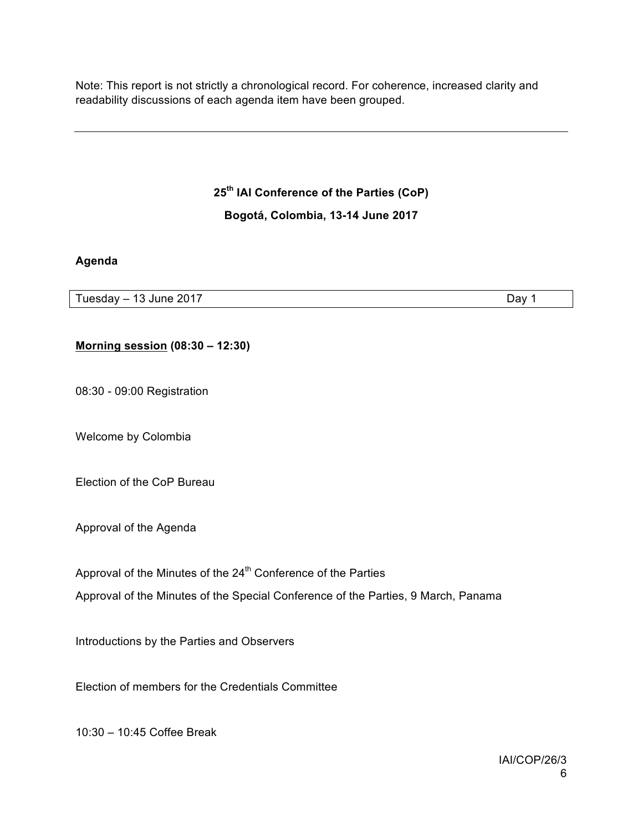Note: This report is not strictly a chronological record. For coherence, increased clarity and readability discussions of each agenda item have been grouped.

**25th IAI Conference of the Parties (CoP)**

**Bogotá, Colombia, 13-14 June 2017**

#### **Agenda**

Tuesday – 13 June 2017 **Day 1** 

#### **Morning session (08:30 – 12:30)**

08:30 - 09:00 Registration

Welcome by Colombia

Election of the CoP Bureau

Approval of the Agenda

Approval of the Minutes of the  $24<sup>th</sup>$  Conference of the Parties

Approval of the Minutes of the Special Conference of the Parties, 9 March, Panama

Introductions by the Parties and Observers

Election of members for the Credentials Committee

10:30 – 10:45 Coffee Break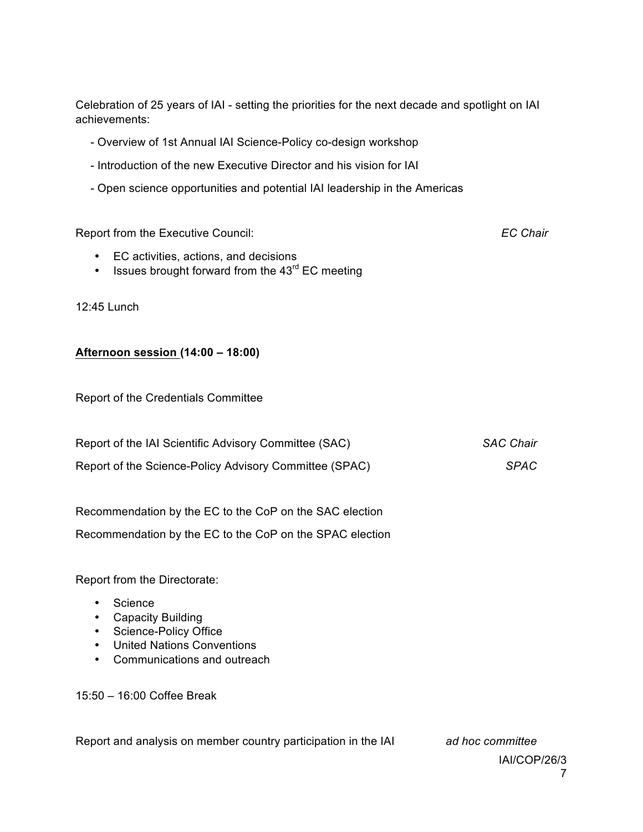Celebration of 25 years of IAI - setting the priorities for the next decade and spotlight on IAI achievements:

- Overview of 1st Annual IAI Science-Policy co-design workshop
- Introduction of the new Executive Director and his vision for IAI
- Open science opportunities and potential IAI leadership in the Americas

Report from the Executive Council: *EC Chair*

- EC activities, actions, and decisions
- Issues brought forward from the  $43<sup>rd</sup>$  EC meeting

12:45 Lunch

#### **Afternoon session (14:00 – 18:00)**

Report of the Credentials Committee

| Report of the IAI Scientific Advisory Committee (SAC)  | SAC Chair   |
|--------------------------------------------------------|-------------|
| Report of the Science-Policy Advisory Committee (SPAC) | <b>SPAC</b> |

Recommendation by the EC to the CoP on the SAC election Recommendation by the EC to the CoP on the SPAC election

Report from the Directorate:

- Science
- Capacity Building
- Science-Policy Office
- United Nations Conventions
- Communications and outreach

15:50 – 16:00 Coffee Break

Report and analysis on member country participation in the IAI *ad hoc committee*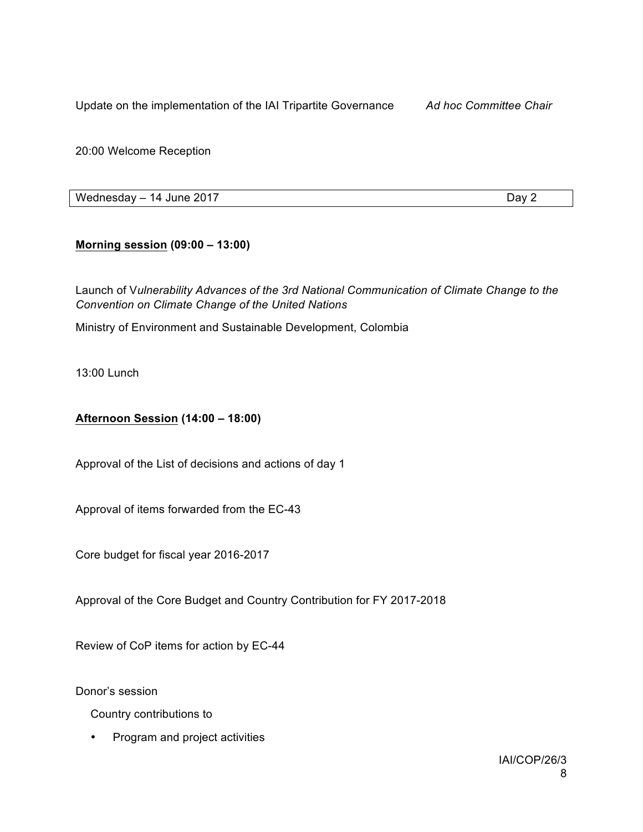Update on the implementation of the IAI Tripartite Governance *Ad hoc Committee Chair*

20:00 Welcome Reception

Wednesday – 14 June 2017 **Day 2** 

# **Morning session (09:00 – 13:00)**

Launch of V*ulnerability Advances of the 3rd National Communication of Climate Change to the Convention on Climate Change of the United Nations*

Ministry of Environment and Sustainable Development, Colombia

13:00 Lunch

# **Afternoon Session (14:00 – 18:00)**

Approval of the List of decisions and actions of day 1

Approval of items forwarded from the EC-43

Core budget for fiscal year 2016-2017

Approval of the Core Budget and Country Contribution for FY 2017-2018

Review of CoP items for action by EC-44

Donor's session

Country contributions to

• Program and project activities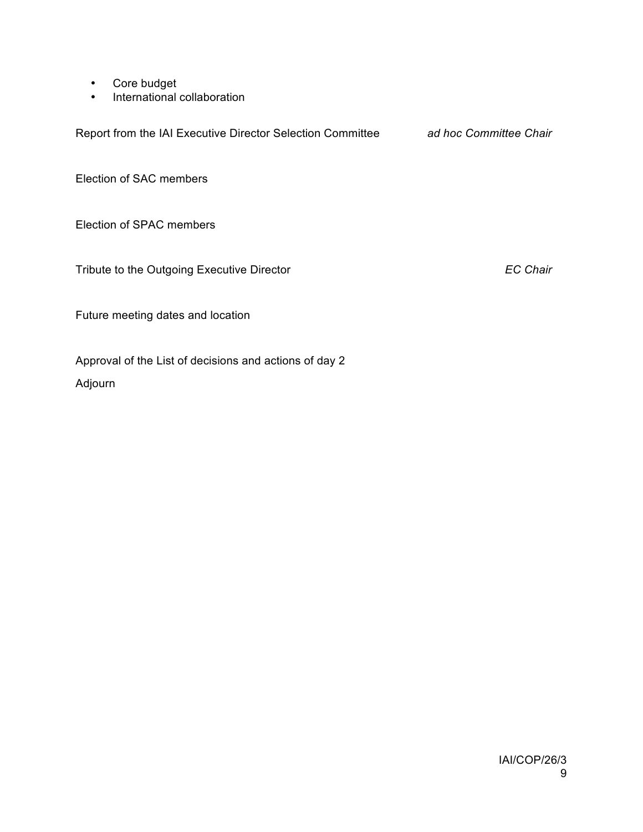- Core budget
- International collaboration

Report from the IAI Executive Director Selection Committee *ad hoc Committee Chair*

Election of SAC members

Election of SPAC members

Tribute to the Outgoing Executive Director *EC Chair*

Future meeting dates and location

Approval of the List of decisions and actions of day 2

Adjourn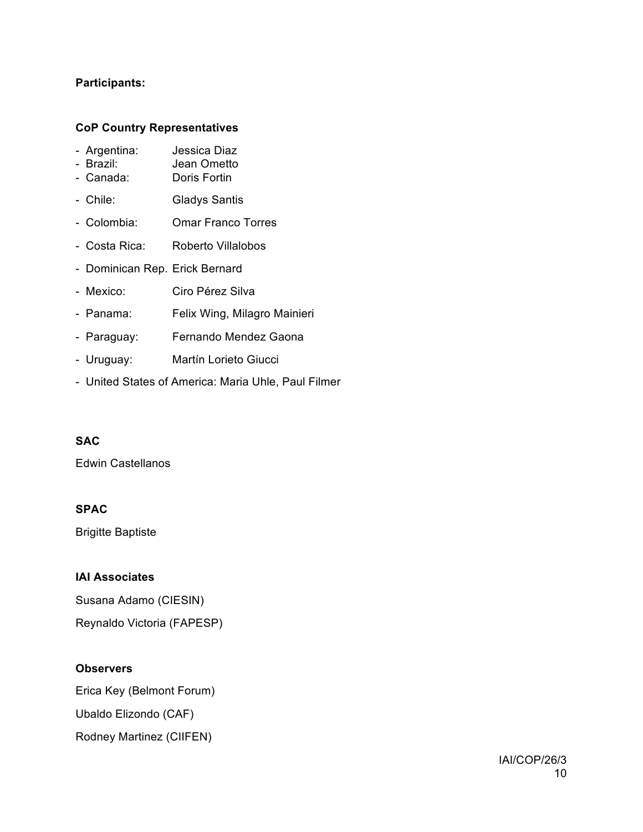# **Participants:**

#### **CoP Country Representatives**

|  | Argentina: | Jessica Diaz |  |
|--|------------|--------------|--|
|--|------------|--------------|--|

- Brazil: Jean Ometto
- Canada: Doris Fortin
- Chile: Gladys Santis
- Colombia: Omar Franco Torres
- Costa Rica: Roberto Villalobos
- Dominican Rep. Erick Bernard
- Mexico: Ciro Pérez Silva
- Panama: Felix Wing, Milagro Mainieri
- Paraguay: Fernando Mendez Gaona
- Uruguay: Martín Lorieto Giucci
- United States of America: Maria Uhle, Paul Filmer

# **SAC**

Edwin Castellanos

#### **SPAC**

Brigitte Baptiste

#### **IAI Associates**

Susana Adamo (CIESIN) Reynaldo Victoria (FAPESP)

#### **Observers**

Erica Key (Belmont Forum) Ubaldo Elizondo (CAF) Rodney Martinez (CIIFEN)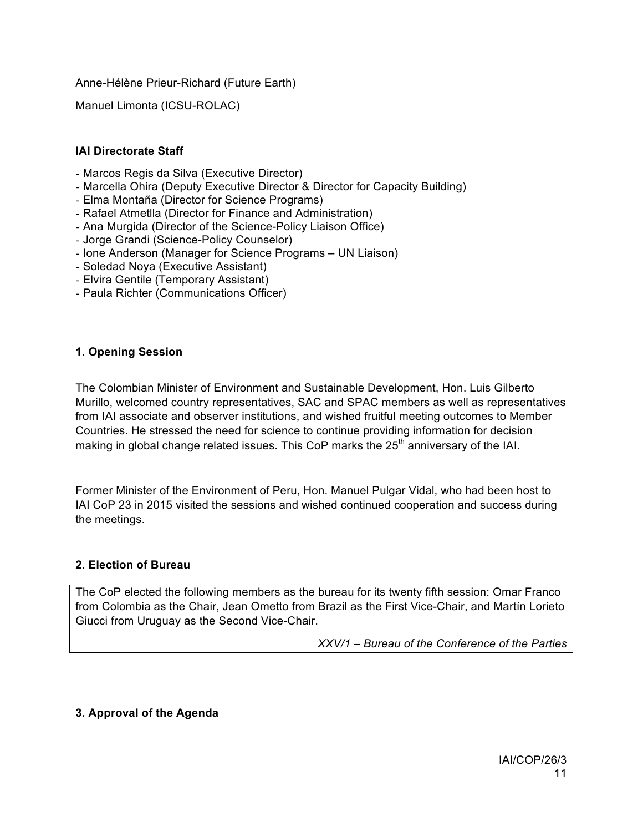Anne-Hélène Prieur-Richard (Future Earth)

Manuel Limonta (ICSU-ROLAC)

# **IAI Directorate Staff**

- Marcos Regis da Silva (Executive Director)
- Marcella Ohira (Deputy Executive Director & Director for Capacity Building)
- Elma Montaña (Director for Science Programs)
- Rafael Atmetlla (Director for Finance and Administration)
- Ana Murgida (Director of the Science-Policy Liaison Office)
- Jorge Grandi (Science-Policy Counselor)
- Ione Anderson (Manager for Science Programs UN Liaison)
- Soledad Noya (Executive Assistant)
- Elvira Gentile (Temporary Assistant)
- Paula Richter (Communications Officer)

#### **1. Opening Session**

The Colombian Minister of Environment and Sustainable Development, Hon. Luis Gilberto Murillo, welcomed country representatives, SAC and SPAC members as well as representatives from IAI associate and observer institutions, and wished fruitful meeting outcomes to Member Countries. He stressed the need for science to continue providing information for decision making in global change related issues. This CoP marks the  $25<sup>th</sup>$  anniversary of the IAI.

Former Minister of the Environment of Peru, Hon. Manuel Pulgar Vidal, who had been host to IAI CoP 23 in 2015 visited the sessions and wished continued cooperation and success during the meetings.

#### **2. Election of Bureau**

The CoP elected the following members as the bureau for its twenty fifth session: Omar Franco from Colombia as the Chair, Jean Ometto from Brazil as the First Vice-Chair, and Martín Lorieto Giucci from Uruguay as the Second Vice-Chair.

*XXV/1 – Bureau of the Conference of the Parties*

# **3. Approval of the Agenda**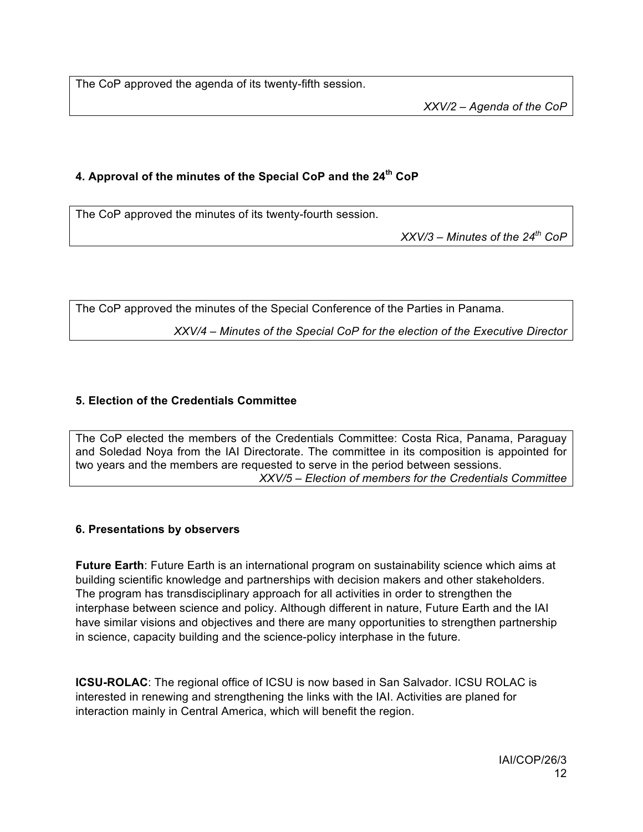The CoP approved the agenda of its twenty-fifth session.

*XXV/2 – Agenda of the CoP*

# **4. Approval of the minutes of the Special CoP and the 24th CoP**

The CoP approved the minutes of its twenty-fourth session.

*XXV/3 – Minutes of the 24th CoP*

The CoP approved the minutes of the Special Conference of the Parties in Panama.

*XXV/4 – Minutes of the Special CoP for the election of the Executive Director*

# **5. Election of the Credentials Committee**

The CoP elected the members of the Credentials Committee: Costa Rica, Panama, Paraguay and Soledad Noya from the IAI Directorate. The committee in its composition is appointed for two years and the members are requested to serve in the period between sessions. *XXV/5 – Election of members for the Credentials Committee*

# **6. Presentations by observers**

**Future Earth**: Future Earth is an international program on sustainability science which aims at building scientific knowledge and partnerships with decision makers and other stakeholders. The program has transdisciplinary approach for all activities in order to strengthen the interphase between science and policy. Although different in nature, Future Earth and the IAI have similar visions and objectives and there are many opportunities to strengthen partnership in science, capacity building and the science-policy interphase in the future.

**ICSU-ROLAC**: The regional office of ICSU is now based in San Salvador. ICSU ROLAC is interested in renewing and strengthening the links with the IAI. Activities are planed for interaction mainly in Central America, which will benefit the region.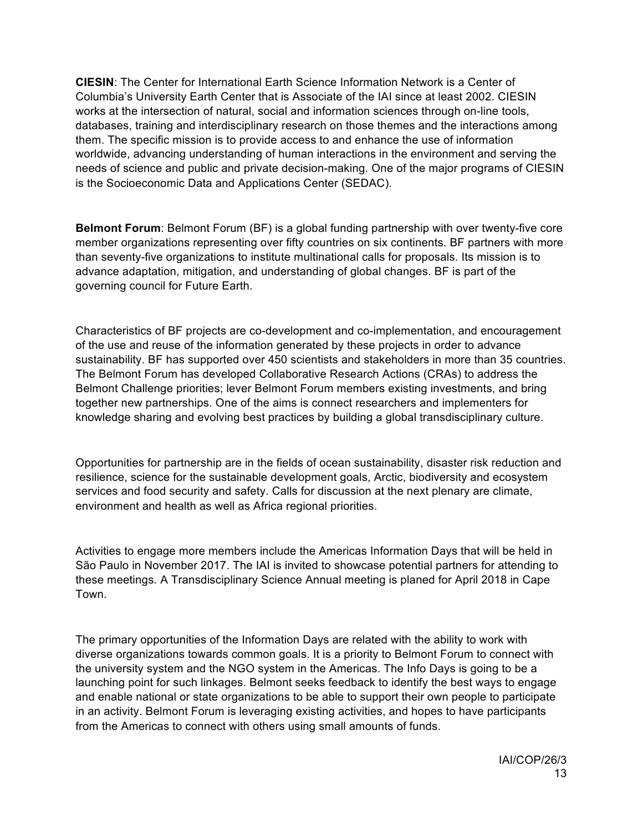**CIESIN**: The Center for International Earth Science Information Network is a Center of Columbia's University Earth Center that is Associate of the IAI since at least 2002. CIESIN works at the intersection of natural, social and information sciences through on-line tools, databases, training and interdisciplinary research on those themes and the interactions among them. The specific mission is to provide access to and enhance the use of information worldwide, advancing understanding of human interactions in the environment and serving the needs of science and public and private decision-making. One of the major programs of CIESIN is the Socioeconomic Data and Applications Center (SEDAC).

**Belmont Forum**: Belmont Forum (BF) is a global funding partnership with over twenty-five core member organizations representing over fifty countries on six continents. BF partners with more than seventy-five organizations to institute multinational calls for proposals. Its mission is to advance adaptation, mitigation, and understanding of global changes. BF is part of the governing council for Future Earth.

Characteristics of BF projects are co-development and co-implementation, and encouragement of the use and reuse of the information generated by these projects in order to advance sustainability. BF has supported over 450 scientists and stakeholders in more than 35 countries. The Belmont Forum has developed Collaborative Research Actions (CRAs) to address the Belmont Challenge priorities; lever Belmont Forum members existing investments, and bring together new partnerships. One of the aims is connect researchers and implementers for knowledge sharing and evolving best practices by building a global transdisciplinary culture.

Opportunities for partnership are in the fields of ocean sustainability, disaster risk reduction and resilience, science for the sustainable development goals, Arctic, biodiversity and ecosystem services and food security and safety. Calls for discussion at the next plenary are climate, environment and health as well as Africa regional priorities.

Activities to engage more members include the Americas Information Days that will be held in São Paulo in November 2017. The IAI is invited to showcase potential partners for attending to these meetings. A Transdisciplinary Science Annual meeting is planed for April 2018 in Cape Town.

The primary opportunities of the Information Days are related with the ability to work with diverse organizations towards common goals. It is a priority to Belmont Forum to connect with the university system and the NGO system in the Americas. The Info Days is going to be a launching point for such linkages. Belmont seeks feedback to identify the best ways to engage and enable national or state organizations to be able to support their own people to participate in an activity. Belmont Forum is leveraging existing activities, and hopes to have participants from the Americas to connect with others using small amounts of funds.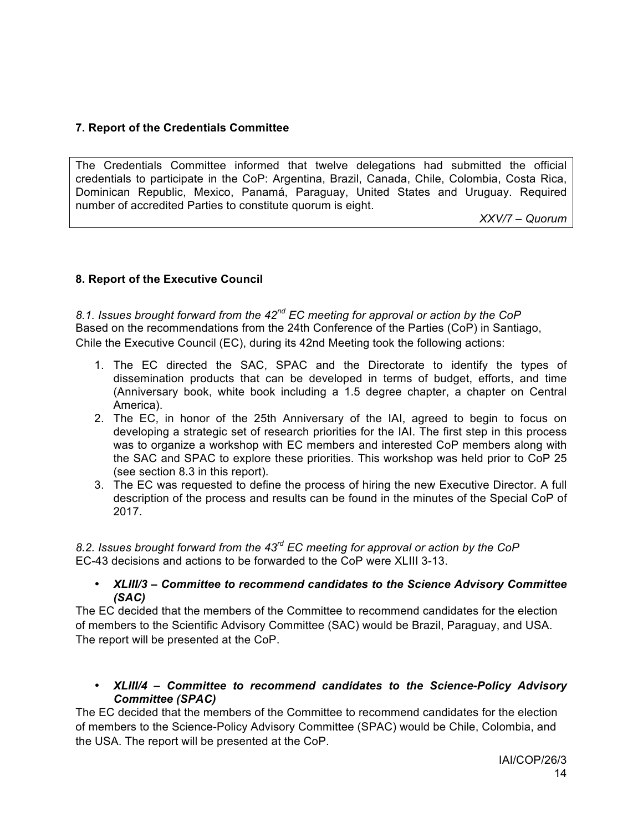# **7. Report of the Credentials Committee**

The Credentials Committee informed that twelve delegations had submitted the official credentials to participate in the CoP: Argentina, Brazil, Canada, Chile, Colombia, Costa Rica, Dominican Republic, Mexico, Panamá, Paraguay, United States and Uruguay. Required number of accredited Parties to constitute quorum is eight.

*XXV/7 – Quorum*

#### **8. Report of the Executive Council**

*8.1. Issues brought forward from the 42nd EC meeting for approval or action by the CoP* Based on the recommendations from the 24th Conference of the Parties (CoP) in Santiago, Chile the Executive Council (EC), during its 42nd Meeting took the following actions:

- 1. The EC directed the SAC, SPAC and the Directorate to identify the types of dissemination products that can be developed in terms of budget, efforts, and time (Anniversary book, white book including a 1.5 degree chapter, a chapter on Central America).
- 2. The EC, in honor of the 25th Anniversary of the IAI, agreed to begin to focus on developing a strategic set of research priorities for the IAI. The first step in this process was to organize a workshop with EC members and interested CoP members along with the SAC and SPAC to explore these priorities. This workshop was held prior to CoP 25 (see section 8.3 in this report).
- 3. The EC was requested to define the process of hiring the new Executive Director. A full description of the process and results can be found in the minutes of the Special CoP of 2017.

*8.2. Issues brought forward from the 43rd EC meeting for approval or action by the CoP* EC-43 decisions and actions to be forwarded to the CoP were XLIII 3-13.

#### • *XLIII/3 – Committee to recommend candidates to the Science Advisory Committee (SAC)*

The EC decided that the members of the Committee to recommend candidates for the election of members to the Scientific Advisory Committee (SAC) would be Brazil, Paraguay, and USA. The report will be presented at the CoP.

#### • *XLIII/4 – Committee to recommend candidates to the Science-Policy Advisory Committee (SPAC)*

The EC decided that the members of the Committee to recommend candidates for the election of members to the Science-Policy Advisory Committee (SPAC) would be Chile, Colombia, and the USA. The report will be presented at the CoP.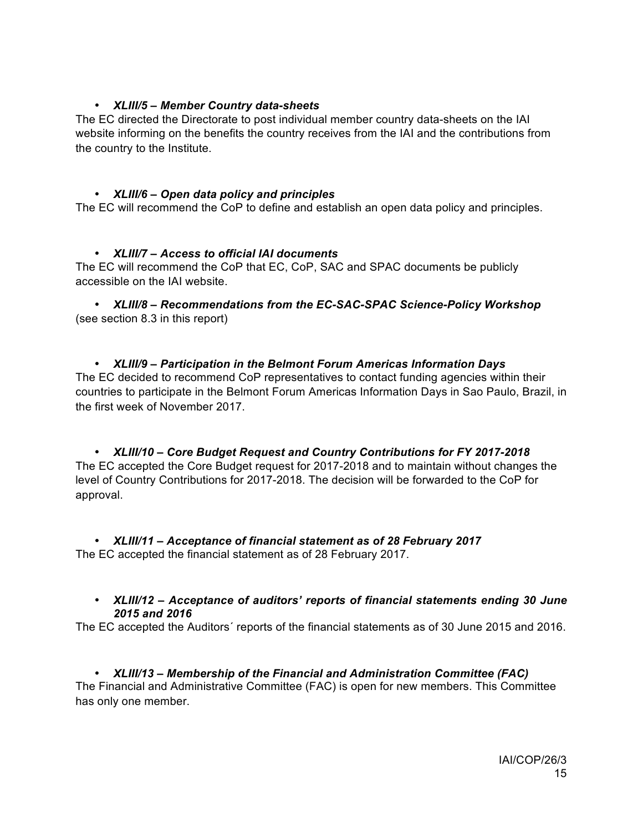#### • *XLIII/5 – Member Country data-sheets*

The EC directed the Directorate to post individual member country data-sheets on the IAI website informing on the benefits the country receives from the IAI and the contributions from the country to the Institute.

# • *XLIII/6 – Open data policy and principles*

The EC will recommend the CoP to define and establish an open data policy and principles.

# • *XLIII/7 – Access to official IAI documents*

The EC will recommend the CoP that EC, CoP, SAC and SPAC documents be publicly accessible on the IAI website.

• *XLIII/8 – Recommendations from the EC-SAC-SPAC Science-Policy Workshop* (see section 8.3 in this report)

• *XLIII/9 – Participation in the Belmont Forum Americas Information Days* The EC decided to recommend CoP representatives to contact funding agencies within their countries to participate in the Belmont Forum Americas Information Days in Sao Paulo, Brazil, in the first week of November 2017.

• *XLIII/10 – Core Budget Request and Country Contributions for FY 2017-2018* The EC accepted the Core Budget request for 2017-2018 and to maintain without changes the level of Country Contributions for 2017-2018. The decision will be forwarded to the CoP for approval.

• *XLIII/11 – Acceptance of financial statement as of 28 February 2017* The EC accepted the financial statement as of 28 February 2017.

#### • *XLIII/12 – Acceptance of auditors' reports of financial statements ending 30 June 2015 and 2016*

The EC accepted the Auditors´ reports of the financial statements as of 30 June 2015 and 2016.

# • *XLIII/13 – Membership of the Financial and Administration Committee (FAC)*

The Financial and Administrative Committee (FAC) is open for new members. This Committee has only one member.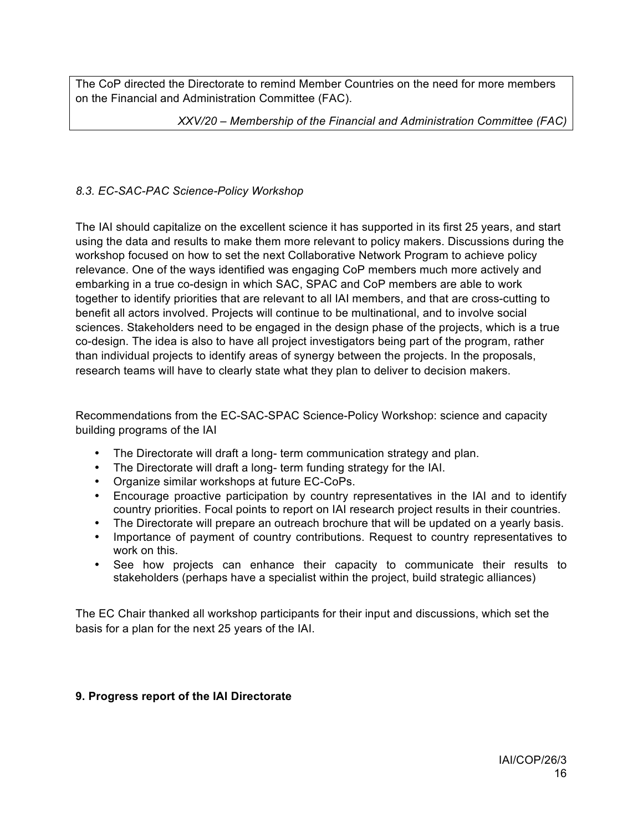The CoP directed the Directorate to remind Member Countries on the need for more members on the Financial and Administration Committee (FAC).

*XXV/20 – Membership of the Financial and Administration Committee (FAC)*

# *8.3. EC-SAC-PAC Science-Policy Workshop*

The IAI should capitalize on the excellent science it has supported in its first 25 years, and start using the data and results to make them more relevant to policy makers. Discussions during the workshop focused on how to set the next Collaborative Network Program to achieve policy relevance. One of the ways identified was engaging CoP members much more actively and embarking in a true co-design in which SAC, SPAC and CoP members are able to work together to identify priorities that are relevant to all IAI members, and that are cross-cutting to benefit all actors involved. Projects will continue to be multinational, and to involve social sciences. Stakeholders need to be engaged in the design phase of the projects, which is a true co-design. The idea is also to have all project investigators being part of the program, rather than individual projects to identify areas of synergy between the projects. In the proposals, research teams will have to clearly state what they plan to deliver to decision makers.

Recommendations from the EC-SAC-SPAC Science-Policy Workshop: science and capacity building programs of the IAI

- The Directorate will draft a long- term communication strategy and plan.
- The Directorate will draft a long- term funding strategy for the IAI.
- Organize similar workshops at future EC-CoPs.
- Encourage proactive participation by country representatives in the IAI and to identify country priorities. Focal points to report on IAI research project results in their countries.
- The Directorate will prepare an outreach brochure that will be updated on a yearly basis.
- Importance of payment of country contributions. Request to country representatives to work on this.
- See how projects can enhance their capacity to communicate their results to stakeholders (perhaps have a specialist within the project, build strategic alliances)

The EC Chair thanked all workshop participants for their input and discussions, which set the basis for a plan for the next 25 years of the IAI.

# **9. Progress report of the IAI Directorate**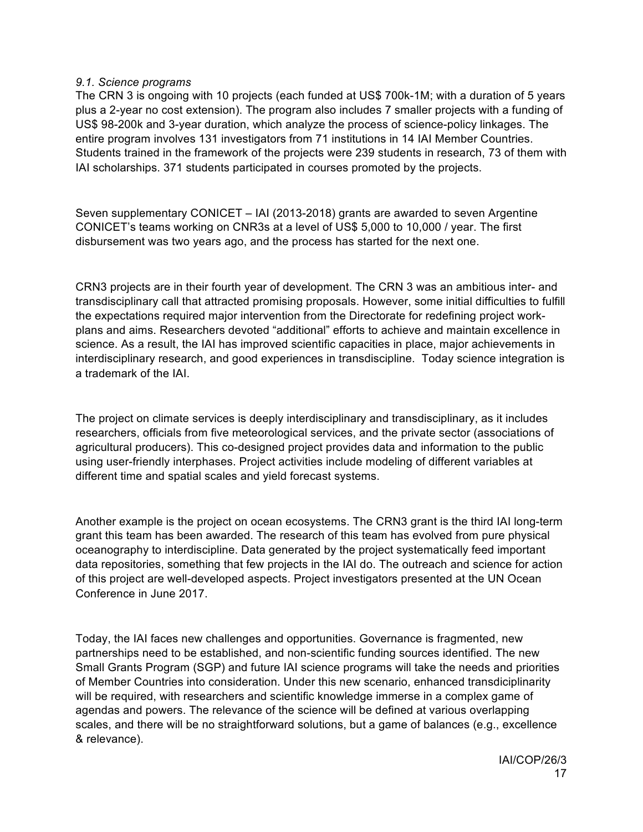#### *9.1. Science programs*

The CRN 3 is ongoing with 10 projects (each funded at US\$ 700k-1M; with a duration of 5 years plus a 2-year no cost extension). The program also includes 7 smaller projects with a funding of US\$ 98-200k and 3-year duration, which analyze the process of science-policy linkages. The entire program involves 131 investigators from 71 institutions in 14 IAI Member Countries. Students trained in the framework of the projects were 239 students in research, 73 of them with IAI scholarships. 371 students participated in courses promoted by the projects.

Seven supplementary CONICET – IAI (2013-2018) grants are awarded to seven Argentine CONICET's teams working on CNR3s at a level of US\$ 5,000 to 10,000 / year. The first disbursement was two years ago, and the process has started for the next one.

CRN3 projects are in their fourth year of development. The CRN 3 was an ambitious inter- and transdisciplinary call that attracted promising proposals. However, some initial difficulties to fulfill the expectations required major intervention from the Directorate for redefining project workplans and aims. Researchers devoted "additional" efforts to achieve and maintain excellence in science. As a result, the IAI has improved scientific capacities in place, major achievements in interdisciplinary research, and good experiences in transdiscipline. Today science integration is a trademark of the IAI.

The project on climate services is deeply interdisciplinary and transdisciplinary, as it includes researchers, officials from five meteorological services, and the private sector (associations of agricultural producers). This co-designed project provides data and information to the public using user-friendly interphases. Project activities include modeling of different variables at different time and spatial scales and yield forecast systems.

Another example is the project on ocean ecosystems. The CRN3 grant is the third IAI long-term grant this team has been awarded. The research of this team has evolved from pure physical oceanography to interdiscipline. Data generated by the project systematically feed important data repositories, something that few projects in the IAI do. The outreach and science for action of this project are well-developed aspects. Project investigators presented at the UN Ocean Conference in June 2017.

Today, the IAI faces new challenges and opportunities. Governance is fragmented, new partnerships need to be established, and non-scientific funding sources identified. The new Small Grants Program (SGP) and future IAI science programs will take the needs and priorities of Member Countries into consideration. Under this new scenario, enhanced transdiciplinarity will be required, with researchers and scientific knowledge immerse in a complex game of agendas and powers. The relevance of the science will be defined at various overlapping scales, and there will be no straightforward solutions, but a game of balances (e.g., excellence & relevance).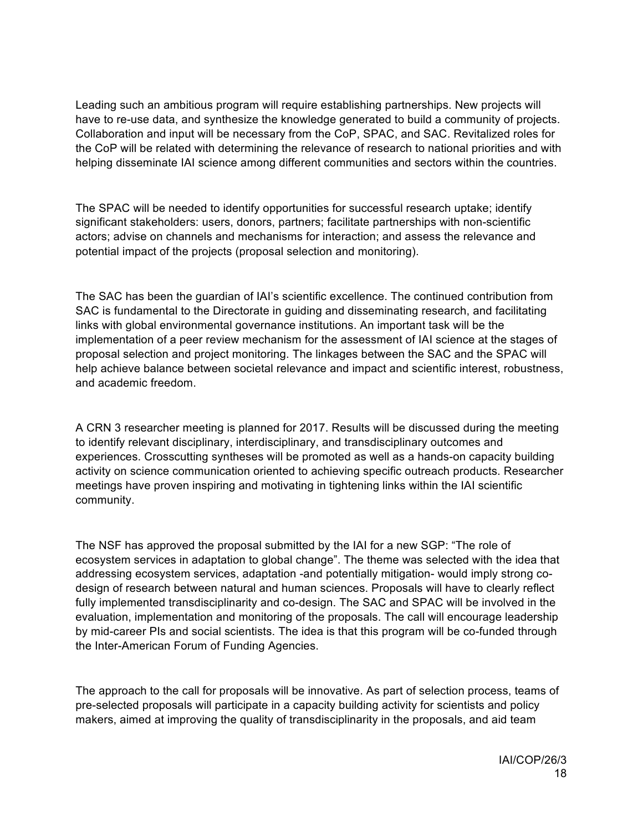Leading such an ambitious program will require establishing partnerships. New projects will have to re-use data, and synthesize the knowledge generated to build a community of projects. Collaboration and input will be necessary from the CoP, SPAC, and SAC. Revitalized roles for the CoP will be related with determining the relevance of research to national priorities and with helping disseminate IAI science among different communities and sectors within the countries.

The SPAC will be needed to identify opportunities for successful research uptake; identify significant stakeholders: users, donors, partners; facilitate partnerships with non-scientific actors; advise on channels and mechanisms for interaction; and assess the relevance and potential impact of the projects (proposal selection and monitoring).

The SAC has been the guardian of IAI's scientific excellence. The continued contribution from SAC is fundamental to the Directorate in guiding and disseminating research, and facilitating links with global environmental governance institutions. An important task will be the implementation of a peer review mechanism for the assessment of IAI science at the stages of proposal selection and project monitoring. The linkages between the SAC and the SPAC will help achieve balance between societal relevance and impact and scientific interest, robustness, and academic freedom.

A CRN 3 researcher meeting is planned for 2017. Results will be discussed during the meeting to identify relevant disciplinary, interdisciplinary, and transdisciplinary outcomes and experiences. Crosscutting syntheses will be promoted as well as a hands-on capacity building activity on science communication oriented to achieving specific outreach products. Researcher meetings have proven inspiring and motivating in tightening links within the IAI scientific community.

The NSF has approved the proposal submitted by the IAI for a new SGP: "The role of ecosystem services in adaptation to global change". The theme was selected with the idea that addressing ecosystem services, adaptation -and potentially mitigation- would imply strong codesign of research between natural and human sciences. Proposals will have to clearly reflect fully implemented transdisciplinarity and co-design. The SAC and SPAC will be involved in the evaluation, implementation and monitoring of the proposals. The call will encourage leadership by mid-career PIs and social scientists. The idea is that this program will be co-funded through the Inter-American Forum of Funding Agencies.

The approach to the call for proposals will be innovative. As part of selection process, teams of pre-selected proposals will participate in a capacity building activity for scientists and policy makers, aimed at improving the quality of transdisciplinarity in the proposals, and aid team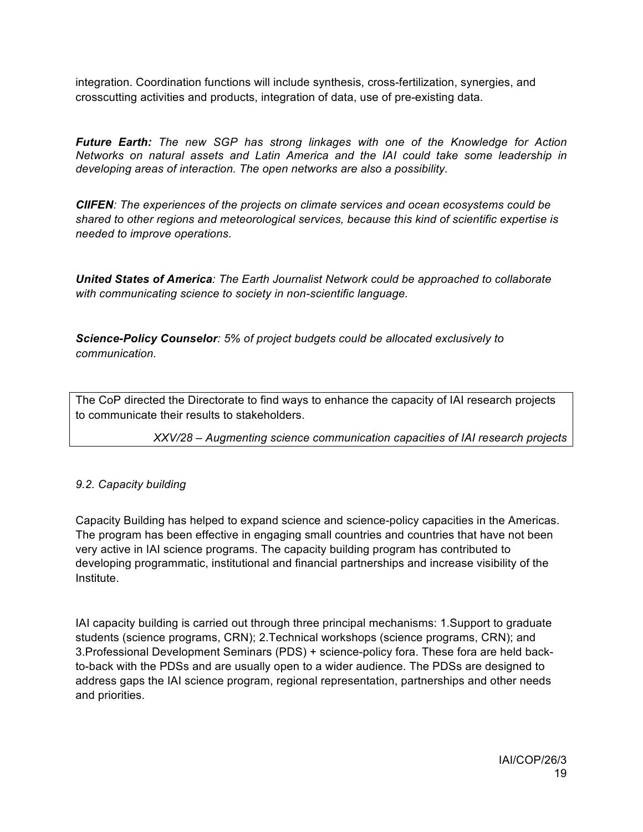integration. Coordination functions will include synthesis, cross-fertilization, synergies, and crosscutting activities and products, integration of data, use of pre-existing data.

*Future Earth: The new SGP has strong linkages with one of the Knowledge for Action Networks on natural assets and Latin America and the IAI could take some leadership in developing areas of interaction. The open networks are also a possibility.*

*CIIFEN: The experiences of the projects on climate services and ocean ecosystems could be shared to other regions and meteorological services, because this kind of scientific expertise is needed to improve operations.*

*United States of America: The Earth Journalist Network could be approached to collaborate with communicating science to society in non-scientific language.* 

*Science-Policy Counselor: 5% of project budgets could be allocated exclusively to communication.*

The CoP directed the Directorate to find ways to enhance the capacity of IAI research projects to communicate their results to stakeholders.

*XXV/28 – Augmenting science communication capacities of IAI research projects*

# *9.2. Capacity building*

Capacity Building has helped to expand science and science-policy capacities in the Americas. The program has been effective in engaging small countries and countries that have not been very active in IAI science programs. The capacity building program has contributed to developing programmatic, institutional and financial partnerships and increase visibility of the Institute.

IAI capacity building is carried out through three principal mechanisms: 1.Support to graduate students (science programs, CRN); 2.Technical workshops (science programs, CRN); and 3.Professional Development Seminars (PDS) + science-policy fora. These fora are held backto-back with the PDSs and are usually open to a wider audience. The PDSs are designed to address gaps the IAI science program, regional representation, partnerships and other needs and priorities.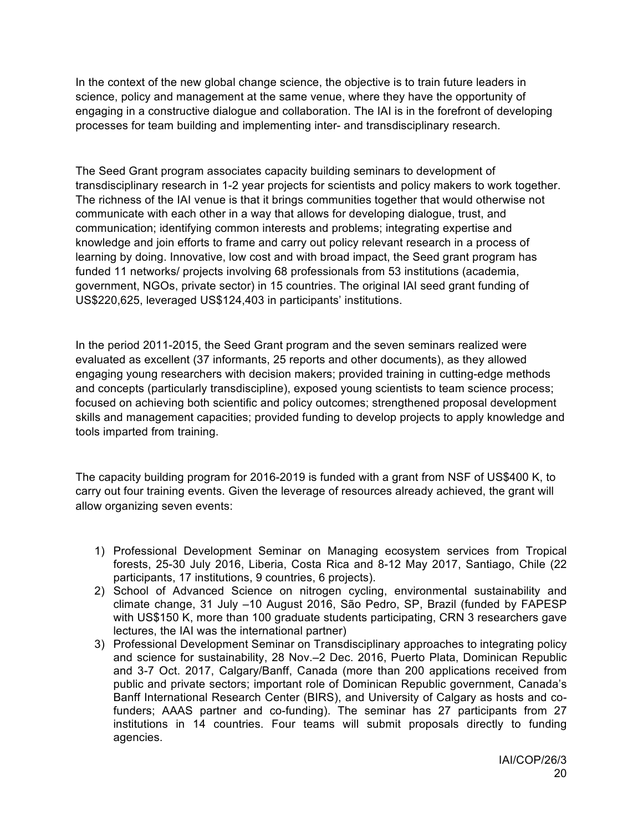In the context of the new global change science, the objective is to train future leaders in science, policy and management at the same venue, where they have the opportunity of engaging in a constructive dialogue and collaboration. The IAI is in the forefront of developing processes for team building and implementing inter- and transdisciplinary research.

The Seed Grant program associates capacity building seminars to development of transdisciplinary research in 1-2 year projects for scientists and policy makers to work together. The richness of the IAI venue is that it brings communities together that would otherwise not communicate with each other in a way that allows for developing dialogue, trust, and communication; identifying common interests and problems; integrating expertise and knowledge and join efforts to frame and carry out policy relevant research in a process of learning by doing. Innovative, low cost and with broad impact, the Seed grant program has funded 11 networks/ projects involving 68 professionals from 53 institutions (academia, government, NGOs, private sector) in 15 countries. The original IAI seed grant funding of US\$220,625, leveraged US\$124,403 in participants' institutions.

In the period 2011-2015, the Seed Grant program and the seven seminars realized were evaluated as excellent (37 informants, 25 reports and other documents), as they allowed engaging young researchers with decision makers; provided training in cutting-edge methods and concepts (particularly transdiscipline), exposed young scientists to team science process; focused on achieving both scientific and policy outcomes; strengthened proposal development skills and management capacities; provided funding to develop projects to apply knowledge and tools imparted from training.

The capacity building program for 2016-2019 is funded with a grant from NSF of US\$400 K, to carry out four training events. Given the leverage of resources already achieved, the grant will allow organizing seven events:

- 1) Professional Development Seminar on Managing ecosystem services from Tropical forests, 25-30 July 2016, Liberia, Costa Rica and 8-12 May 2017, Santiago, Chile (22 participants, 17 institutions, 9 countries, 6 projects).
- 2) School of Advanced Science on nitrogen cycling, environmental sustainability and climate change, 31 July –10 August 2016, São Pedro, SP, Brazil (funded by FAPESP with US\$150 K, more than 100 graduate students participating, CRN 3 researchers gave lectures, the IAI was the international partner)
- 3) Professional Development Seminar on Transdisciplinary approaches to integrating policy and science for sustainability, 28 Nov.–2 Dec. 2016, Puerto Plata, Dominican Republic and 3-7 Oct. 2017, Calgary/Banff, Canada (more than 200 applications received from public and private sectors; important role of Dominican Republic government, Canada's Banff International Research Center (BIRS), and University of Calgary as hosts and cofunders; AAAS partner and co-funding). The seminar has 27 participants from 27 institutions in 14 countries. Four teams will submit proposals directly to funding agencies.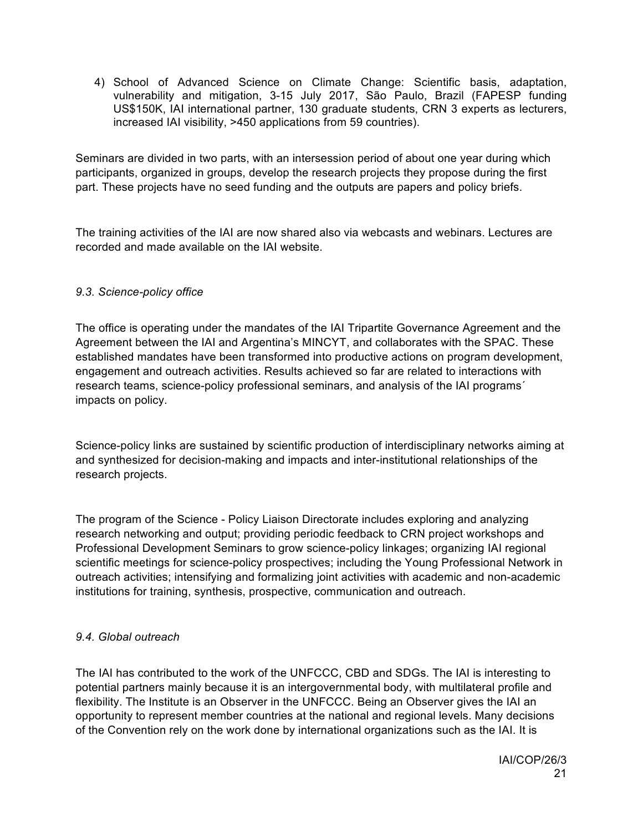4) School of Advanced Science on Climate Change: Scientific basis, adaptation, vulnerability and mitigation, 3-15 July 2017, São Paulo, Brazil (FAPESP funding US\$150K, IAI international partner, 130 graduate students, CRN 3 experts as lecturers, increased IAI visibility, >450 applications from 59 countries).

Seminars are divided in two parts, with an intersession period of about one year during which participants, organized in groups, develop the research projects they propose during the first part. These projects have no seed funding and the outputs are papers and policy briefs.

The training activities of the IAI are now shared also via webcasts and webinars. Lectures are recorded and made available on the IAI website.

# *9.3. Science-policy office*

The office is operating under the mandates of the IAI Tripartite Governance Agreement and the Agreement between the IAI and Argentina's MINCYT, and collaborates with the SPAC. These established mandates have been transformed into productive actions on program development, engagement and outreach activities. Results achieved so far are related to interactions with research teams, science-policy professional seminars, and analysis of the IAI programs´ impacts on policy.

Science-policy links are sustained by scientific production of interdisciplinary networks aiming at and synthesized for decision-making and impacts and inter-institutional relationships of the research projects.

The program of the Science - Policy Liaison Directorate includes exploring and analyzing research networking and output; providing periodic feedback to CRN project workshops and Professional Development Seminars to grow science-policy linkages; organizing IAI regional scientific meetings for science-policy prospectives; including the Young Professional Network in outreach activities; intensifying and formalizing joint activities with academic and non-academic institutions for training, synthesis, prospective, communication and outreach.

# *9.4. Global outreach*

The IAI has contributed to the work of the UNFCCC, CBD and SDGs. The IAI is interesting to potential partners mainly because it is an intergovernmental body, with multilateral profile and flexibility. The Institute is an Observer in the UNFCCC. Being an Observer gives the IAI an opportunity to represent member countries at the national and regional levels. Many decisions of the Convention rely on the work done by international organizations such as the IAI. It is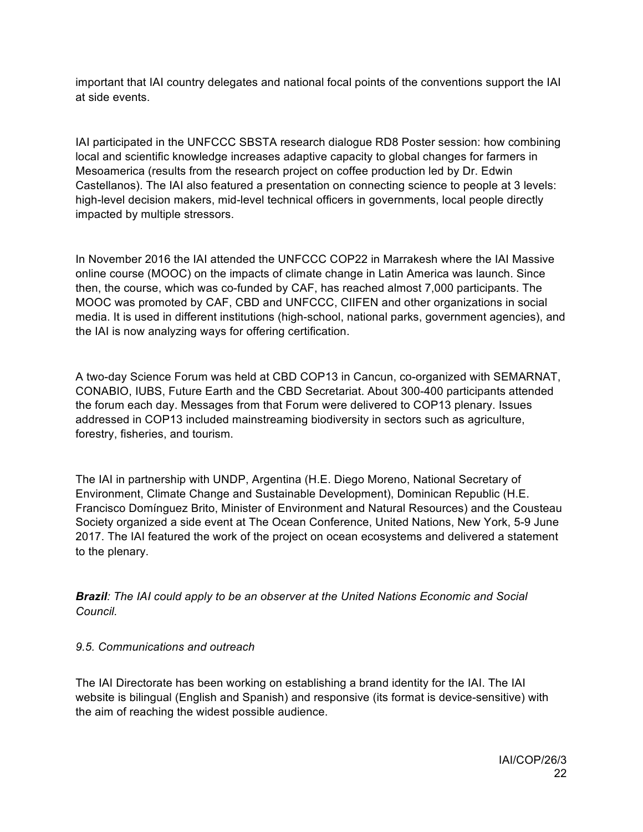important that IAI country delegates and national focal points of the conventions support the IAI at side events.

IAI participated in the UNFCCC SBSTA research dialogue RD8 Poster session: how combining local and scientific knowledge increases adaptive capacity to global changes for farmers in Mesoamerica (results from the research project on coffee production led by Dr. Edwin Castellanos). The IAI also featured a presentation on connecting science to people at 3 levels: high-level decision makers, mid-level technical officers in governments, local people directly impacted by multiple stressors.

In November 2016 the IAI attended the UNFCCC COP22 in Marrakesh where the IAI Massive online course (MOOC) on the impacts of climate change in Latin America was launch. Since then, the course, which was co-funded by CAF, has reached almost 7,000 participants. The MOOC was promoted by CAF, CBD and UNFCCC, CIIFEN and other organizations in social media. It is used in different institutions (high-school, national parks, government agencies), and the IAI is now analyzing ways for offering certification.

A two-day Science Forum was held at CBD COP13 in Cancun, co-organized with SEMARNAT, CONABIO, IUBS, Future Earth and the CBD Secretariat. About 300-400 participants attended the forum each day. Messages from that Forum were delivered to COP13 plenary. Issues addressed in COP13 included mainstreaming biodiversity in sectors such as agriculture, forestry, fisheries, and tourism.

The IAI in partnership with UNDP, Argentina (H.E. Diego Moreno, National Secretary of Environment, Climate Change and Sustainable Development), Dominican Republic (H.E. Francisco Domínguez Brito, Minister of Environment and Natural Resources) and the Cousteau Society organized a side event at The Ocean Conference, United Nations, New York, 5-9 June 2017. The IAI featured the work of the project on ocean ecosystems and delivered a statement to the plenary.

*Brazil: The IAI could apply to be an observer at the United Nations Economic and Social Council.*

# *9.5. Communications and outreach*

The IAI Directorate has been working on establishing a brand identity for the IAI. The IAI website is bilingual (English and Spanish) and responsive (its format is device-sensitive) with the aim of reaching the widest possible audience.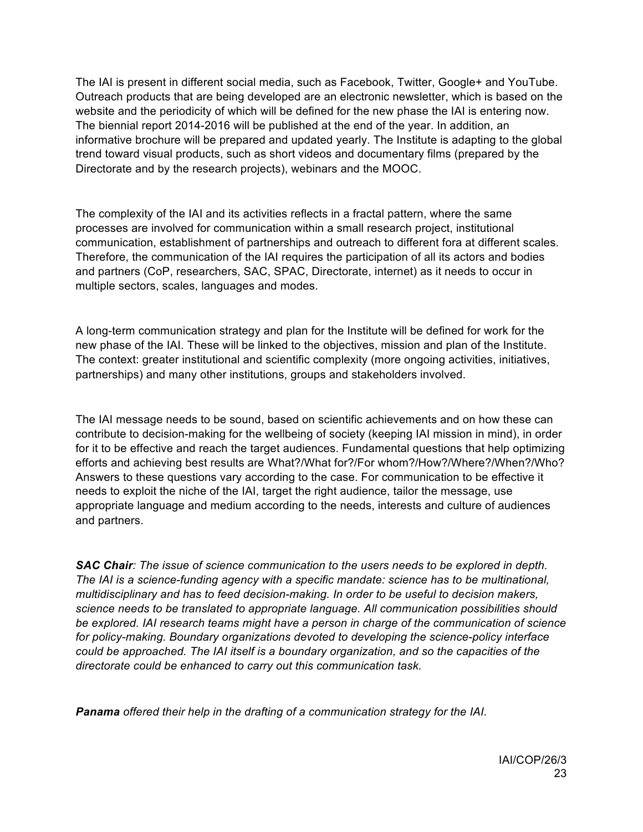The IAI is present in different social media, such as Facebook, Twitter, Google+ and YouTube. Outreach products that are being developed are an electronic newsletter, which is based on the website and the periodicity of which will be defined for the new phase the IAI is entering now. The biennial report 2014-2016 will be published at the end of the year. In addition, an informative brochure will be prepared and updated yearly. The Institute is adapting to the global trend toward visual products, such as short videos and documentary films (prepared by the Directorate and by the research projects), webinars and the MOOC.

The complexity of the IAI and its activities reflects in a fractal pattern, where the same processes are involved for communication within a small research project, institutional communication, establishment of partnerships and outreach to different fora at different scales. Therefore, the communication of the IAI requires the participation of all its actors and bodies and partners (CoP, researchers, SAC, SPAC, Directorate, internet) as it needs to occur in multiple sectors, scales, languages and modes.

A long-term communication strategy and plan for the Institute will be defined for work for the new phase of the IAI. These will be linked to the objectives, mission and plan of the Institute. The context: greater institutional and scientific complexity (more ongoing activities, initiatives, partnerships) and many other institutions, groups and stakeholders involved.

The IAI message needs to be sound, based on scientific achievements and on how these can contribute to decision-making for the wellbeing of society (keeping IAI mission in mind), in order for it to be effective and reach the target audiences. Fundamental questions that help optimizing efforts and achieving best results are What?/What for?/For whom?/How?/Where?/When?/Who? Answers to these questions vary according to the case. For communication to be effective it needs to exploit the niche of the IAI, target the right audience, tailor the message, use appropriate language and medium according to the needs, interests and culture of audiences and partners.

*SAC Chair: The issue of science communication to the users needs to be explored in depth. The IAI is a science-funding agency with a specific mandate: science has to be multinational, multidisciplinary and has to feed decision-making. In order to be useful to decision makers, science needs to be translated to appropriate language. All communication possibilities should be explored. IAI research teams might have a person in charge of the communication of science for policy-making. Boundary organizations devoted to developing the science-policy interface could be approached. The IAI itself is a boundary organization, and so the capacities of the directorate could be enhanced to carry out this communication task.*

*Panama offered their help in the drafting of a communication strategy for the IAI.*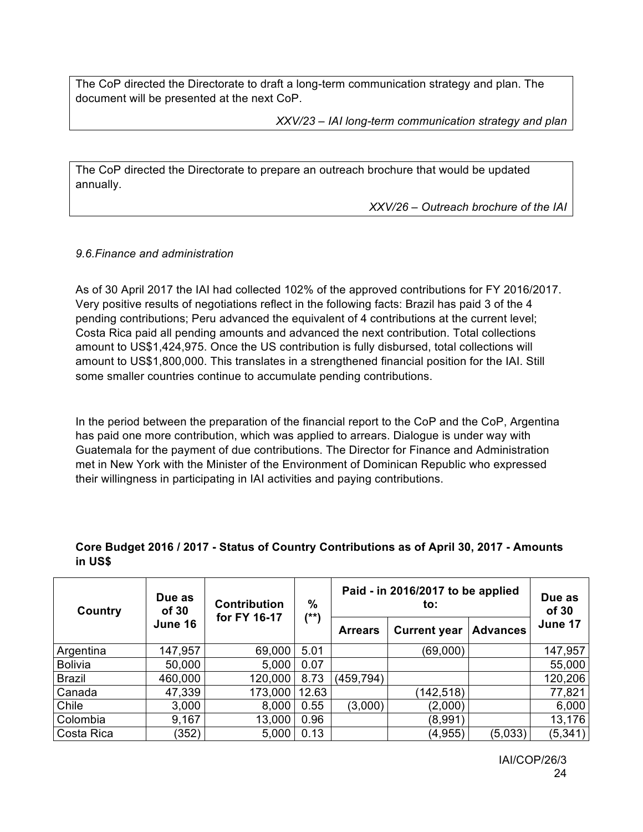The CoP directed the Directorate to draft a long-term communication strategy and plan. The document will be presented at the next CoP.

*XXV/23 – IAI long-term communication strategy and plan*

The CoP directed the Directorate to prepare an outreach brochure that would be updated annually.

*XXV/26 – Outreach brochure of the IAI*

#### *9.6.Finance and administration*

As of 30 April 2017 the IAI had collected 102% of the approved contributions for FY 2016/2017. Very positive results of negotiations reflect in the following facts: Brazil has paid 3 of the 4 pending contributions; Peru advanced the equivalent of 4 contributions at the current level; Costa Rica paid all pending amounts and advanced the next contribution. Total collections amount to US\$1,424,975. Once the US contribution is fully disbursed, total collections will amount to US\$1,800,000. This translates in a strengthened financial position for the IAI. Still some smaller countries continue to accumulate pending contributions.

In the period between the preparation of the financial report to the CoP and the CoP, Argentina has paid one more contribution, which was applied to arrears. Dialogue is under way with Guatemala for the payment of due contributions. The Director for Finance and Administration met in New York with the Minister of the Environment of Dominican Republic who expressed their willingness in participating in IAI activities and paying contributions.

#### **Core Budget 2016 / 2017 - Status of Country Contributions as of April 30, 2017 - Amounts in US\$**

| Country        | Due as<br>of 30 | $\%$<br><b>Contribution</b><br>for FY 16-17 |       |                | Paid - in 2016/2017 to be applied<br>to: |                 | Due as<br>of 30 |
|----------------|-----------------|---------------------------------------------|-------|----------------|------------------------------------------|-----------------|-----------------|
|                | June 16         |                                             | (**)  | <b>Arrears</b> | <b>Current year</b>                      | <b>Advances</b> | June 17         |
| Argentina      | 147,957         | 69,000                                      | 5.01  |                | (69,000)                                 |                 | 147,957         |
| <b>Bolivia</b> | 50,000          | 5,000                                       | 0.07  |                |                                          |                 | 55,000          |
| <b>Brazil</b>  | 460,000         | 120,000                                     | 8.73  | (459, 794)     |                                          |                 | 120,206         |
| Canada         | 47,339          | 173,000                                     | 12.63 |                | (142, 518)                               |                 | 77,821          |
| Chile          | 3,000           | 8,000                                       | 0.55  | (3,000)        | (2,000)                                  |                 | 6,000           |
| Colombia       | 9,167           | 13,000                                      | 0.96  |                | (8,991)                                  |                 | 13,176          |
| Costa Rica     | (352)           | 5,000                                       | 0.13  |                | (4, 955)                                 | (5,033)         | (5, 341)        |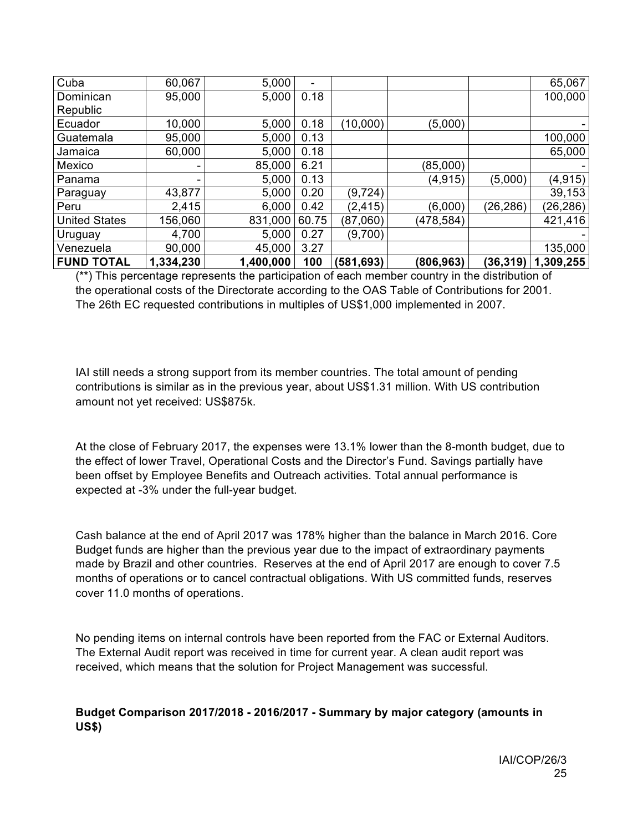| Cuba                 | 60,067    | 5,000     | -     |            |            |           | 65,067    |
|----------------------|-----------|-----------|-------|------------|------------|-----------|-----------|
| Dominican            | 95,000    | 5,000     | 0.18  |            |            |           | 100,000   |
| Republic             |           |           |       |            |            |           |           |
| Ecuador              | 10,000    | 5,000     | 0.18  | (10,000)   | (5,000)    |           |           |
| Guatemala            | 95,000    | 5,000     | 0.13  |            |            |           | 100,000   |
| Jamaica              | 60,000    | 5,000     | 0.18  |            |            |           | 65,000    |
| Mexico               | ۰.        | 85,000    | 6.21  |            | (85,000)   |           |           |
| Panama               | ۰         | 5,000     | 0.13  |            | (4, 915)   | (5,000)   | (4, 915)  |
| Paraguay             | 43,877    | 5,000     | 0.20  | (9, 724)   |            |           | 39,153    |
| Peru                 | 2,415     | 6,000     | 0.42  | (2, 415)   | (6,000)    | (26, 286) | (26, 286) |
| <b>United States</b> | 156,060   | 831,000   | 60.75 | (87,060)   | (478,584)  |           | 421,416   |
| Uruguay              | 4,700     | 5,000     | 0.27  | (9,700)    |            |           |           |
| Venezuela            | 90,000    | 45,000    | 3.27  |            |            |           | 135,000   |
| <b>FUND TOTAL</b>    | 1,334,230 | 1,400,000 | 100   | (581, 693) | (806, 963) | (36, 319) | 1,309,255 |

(\*\*) This percentage represents the participation of each member country in the distribution of the operational costs of the Directorate according to the OAS Table of Contributions for 2001. The 26th EC requested contributions in multiples of US\$1,000 implemented in 2007.

IAI still needs a strong support from its member countries. The total amount of pending contributions is similar as in the previous year, about US\$1.31 million. With US contribution amount not yet received: US\$875k.

At the close of February 2017, the expenses were 13.1% lower than the 8-month budget, due to the effect of lower Travel, Operational Costs and the Director's Fund. Savings partially have been offset by Employee Benefits and Outreach activities. Total annual performance is expected at -3% under the full-year budget.

Cash balance at the end of April 2017 was 178% higher than the balance in March 2016. Core Budget funds are higher than the previous year due to the impact of extraordinary payments made by Brazil and other countries. Reserves at the end of April 2017 are enough to cover 7.5 months of operations or to cancel contractual obligations. With US committed funds, reserves cover 11.0 months of operations.

No pending items on internal controls have been reported from the FAC or External Auditors. The External Audit report was received in time for current year. A clean audit report was received, which means that the solution for Project Management was successful.

#### **Budget Comparison 2017/2018 - 2016/2017 - Summary by major category (amounts in US\$)**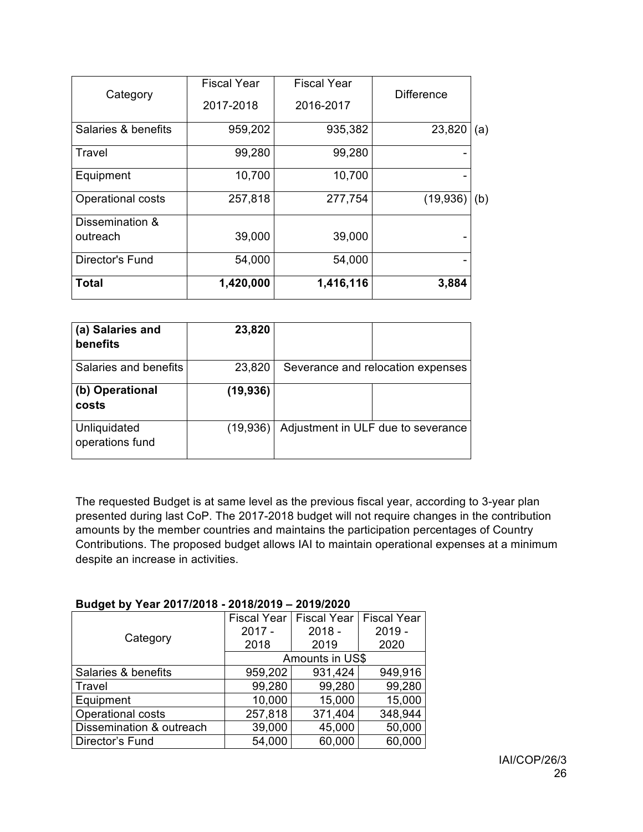| <b>Total</b>                | 1,420,000          | 1,416,116          | 3,884             |     |
|-----------------------------|--------------------|--------------------|-------------------|-----|
| Director's Fund             | 54,000             | 54,000             |                   |     |
| Dissemination &<br>outreach | 39,000             | 39,000             |                   |     |
| <b>Operational costs</b>    | 257,818            | 277,754            | (19, 936)         | (b) |
| Equipment                   | 10,700             | 10,700             |                   |     |
| Travel                      | 99,280             | 99,280             |                   |     |
| Salaries & benefits         | 959,202            | 935,382            | 23,820            | (a) |
|                             | 2017-2018          | 2016-2017          |                   |     |
| Category                    | <b>Fiscal Year</b> | <b>Fiscal Year</b> | <b>Difference</b> |     |

| (a) Salaries and<br>benefits    | 23,820    |                                    |
|---------------------------------|-----------|------------------------------------|
| Salaries and benefits           | 23,820    | Severance and relocation expenses  |
| (b) Operational<br>costs        | (19, 936) |                                    |
| Unliquidated<br>operations fund | (19,936)  | Adjustment in ULF due to severance |

The requested Budget is at same level as the previous fiscal year, according to 3-year plan presented during last CoP. The 2017-2018 budget will not require changes in the contribution amounts by the member countries and maintains the participation percentages of Country Contributions. The proposed budget allows IAI to maintain operational expenses at a minimum despite an increase in activities.

#### **Budget by Year 2017/2018 - 2018/2019 – 2019/2020**

|                          | <b>Fiscal Year</b> | <b>Fiscal Year</b> | <b>Fiscal Year</b> |  |  |
|--------------------------|--------------------|--------------------|--------------------|--|--|
| Category                 | $2017 -$           | $2018 -$           | $2019 -$           |  |  |
|                          | 2018               | 2019               | 2020               |  |  |
|                          | Amounts in US\$    |                    |                    |  |  |
| Salaries & benefits      | 959,202            | 931,424            | 949,916            |  |  |
| Travel                   | 99,280             | 99,280             | 99,280             |  |  |
| Equipment                | 10,000             | 15,000             | 15,000             |  |  |
| <b>Operational costs</b> | 257,818            | 371,404            | 348,944            |  |  |
| Dissemination & outreach | 39,000             | 45,000             | 50,000             |  |  |
| Director's Fund          | 54,000             | 60,000             | 60,000             |  |  |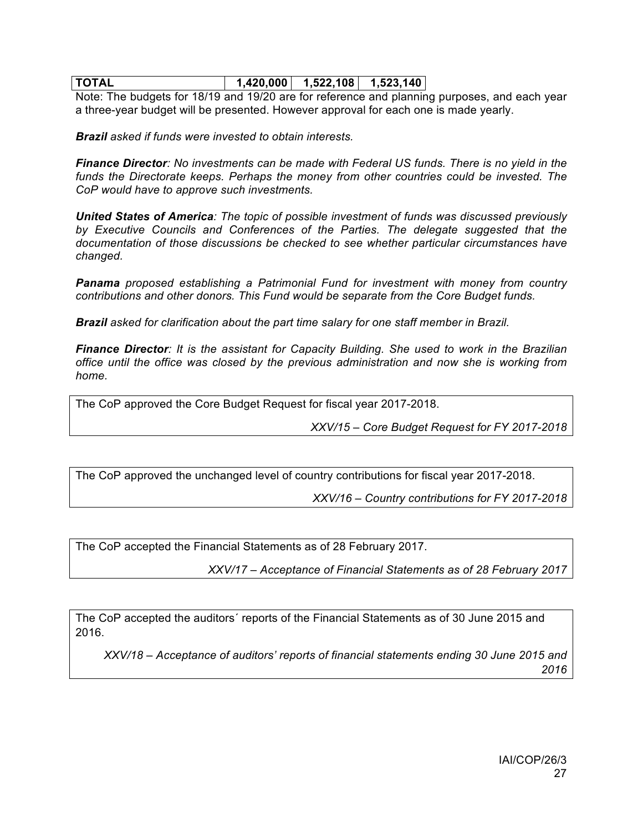# **TOTAL 1,420,000 1,522,108 1,523,140**

Note: The budgets for 18/19 and 19/20 are for reference and planning purposes, and each year a three-year budget will be presented. However approval for each one is made yearly.

*Brazil asked if funds were invested to obtain interests.*

*Finance Director: No investments can be made with Federal US funds. There is no yield in the*  funds the Directorate keeps. Perhaps the money from other countries could be invested. The *CoP would have to approve such investments.* 

*United States of America: The topic of possible investment of funds was discussed previously by Executive Councils and Conferences of the Parties. The delegate suggested that the documentation of those discussions be checked to see whether particular circumstances have changed.*

*Panama proposed establishing a Patrimonial Fund for investment with money from country contributions and other donors. This Fund would be separate from the Core Budget funds.*

*Brazil asked for clarification about the part time salary for one staff member in Brazil.* 

*Finance Director: It is the assistant for Capacity Building. She used to work in the Brazilian office until the office was closed by the previous administration and now she is working from home.*

The CoP approved the Core Budget Request for fiscal year 2017-2018.

*XXV/15 – Core Budget Request for FY 2017-2018*

The CoP approved the unchanged level of country contributions for fiscal year 2017-2018.

*XXV/16 – Country contributions for FY 2017-2018*

The CoP accepted the Financial Statements as of 28 February 2017.

*XXV/17 – Acceptance of Financial Statements as of 28 February 2017*

The CoP accepted the auditors´ reports of the Financial Statements as of 30 June 2015 and 2016.

*XXV/18 – Acceptance of auditors' reports of financial statements ending 30 June 2015 and 2016*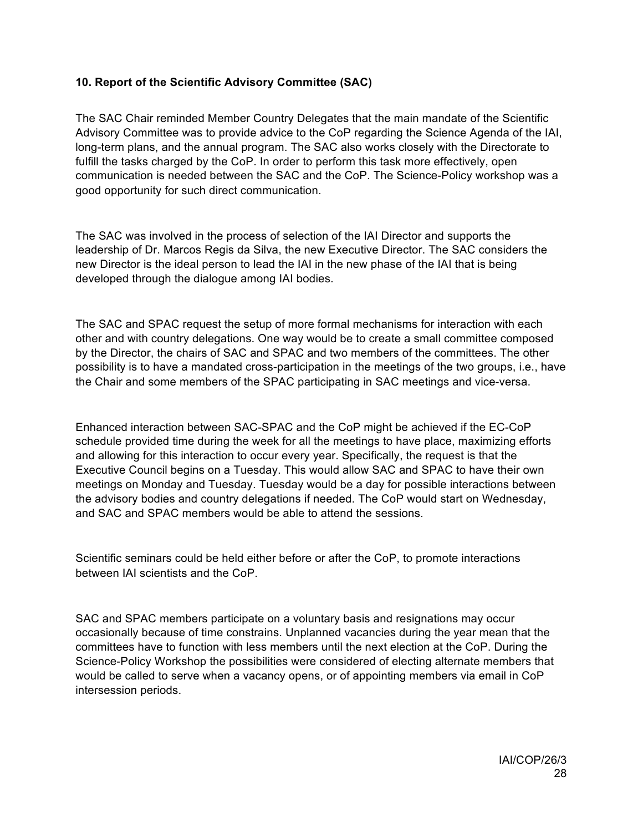# **10. Report of the Scientific Advisory Committee (SAC)**

The SAC Chair reminded Member Country Delegates that the main mandate of the Scientific Advisory Committee was to provide advice to the CoP regarding the Science Agenda of the IAI, long-term plans, and the annual program. The SAC also works closely with the Directorate to fulfill the tasks charged by the CoP. In order to perform this task more effectively, open communication is needed between the SAC and the CoP. The Science-Policy workshop was a good opportunity for such direct communication.

The SAC was involved in the process of selection of the IAI Director and supports the leadership of Dr. Marcos Regis da Silva, the new Executive Director. The SAC considers the new Director is the ideal person to lead the IAI in the new phase of the IAI that is being developed through the dialogue among IAI bodies.

The SAC and SPAC request the setup of more formal mechanisms for interaction with each other and with country delegations. One way would be to create a small committee composed by the Director, the chairs of SAC and SPAC and two members of the committees. The other possibility is to have a mandated cross-participation in the meetings of the two groups, i.e., have the Chair and some members of the SPAC participating in SAC meetings and vice-versa.

Enhanced interaction between SAC-SPAC and the CoP might be achieved if the EC-CoP schedule provided time during the week for all the meetings to have place, maximizing efforts and allowing for this interaction to occur every year. Specifically, the request is that the Executive Council begins on a Tuesday. This would allow SAC and SPAC to have their own meetings on Monday and Tuesday. Tuesday would be a day for possible interactions between the advisory bodies and country delegations if needed. The CoP would start on Wednesday, and SAC and SPAC members would be able to attend the sessions.

Scientific seminars could be held either before or after the CoP, to promote interactions between IAI scientists and the CoP.

SAC and SPAC members participate on a voluntary basis and resignations may occur occasionally because of time constrains. Unplanned vacancies during the year mean that the committees have to function with less members until the next election at the CoP. During the Science-Policy Workshop the possibilities were considered of electing alternate members that would be called to serve when a vacancy opens, or of appointing members via email in CoP intersession periods.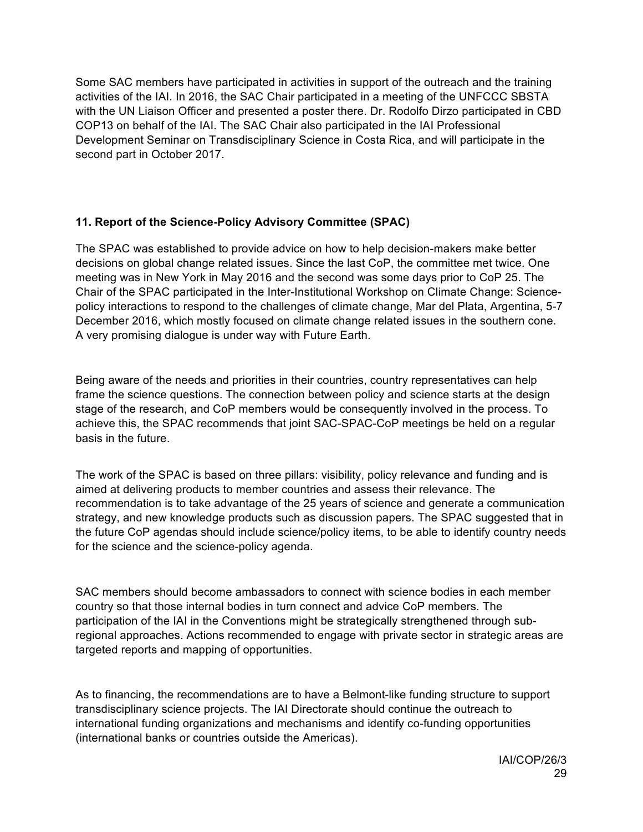Some SAC members have participated in activities in support of the outreach and the training activities of the IAI. In 2016, the SAC Chair participated in a meeting of the UNFCCC SBSTA with the UN Liaison Officer and presented a poster there. Dr. Rodolfo Dirzo participated in CBD COP13 on behalf of the IAI. The SAC Chair also participated in the IAI Professional Development Seminar on Transdisciplinary Science in Costa Rica, and will participate in the second part in October 2017.

# **11. Report of the Science-Policy Advisory Committee (SPAC)**

The SPAC was established to provide advice on how to help decision-makers make better decisions on global change related issues. Since the last CoP, the committee met twice. One meeting was in New York in May 2016 and the second was some days prior to CoP 25. The Chair of the SPAC participated in the Inter-Institutional Workshop on Climate Change: Sciencepolicy interactions to respond to the challenges of climate change, Mar del Plata, Argentina, 5-7 December 2016, which mostly focused on climate change related issues in the southern cone. A very promising dialogue is under way with Future Earth.

Being aware of the needs and priorities in their countries, country representatives can help frame the science questions. The connection between policy and science starts at the design stage of the research, and CoP members would be consequently involved in the process. To achieve this, the SPAC recommends that joint SAC-SPAC-CoP meetings be held on a regular basis in the future.

The work of the SPAC is based on three pillars: visibility, policy relevance and funding and is aimed at delivering products to member countries and assess their relevance. The recommendation is to take advantage of the 25 years of science and generate a communication strategy, and new knowledge products such as discussion papers. The SPAC suggested that in the future CoP agendas should include science/policy items, to be able to identify country needs for the science and the science-policy agenda.

SAC members should become ambassadors to connect with science bodies in each member country so that those internal bodies in turn connect and advice CoP members. The participation of the IAI in the Conventions might be strategically strengthened through subregional approaches. Actions recommended to engage with private sector in strategic areas are targeted reports and mapping of opportunities.

As to financing, the recommendations are to have a Belmont-like funding structure to support transdisciplinary science projects. The IAI Directorate should continue the outreach to international funding organizations and mechanisms and identify co-funding opportunities (international banks or countries outside the Americas).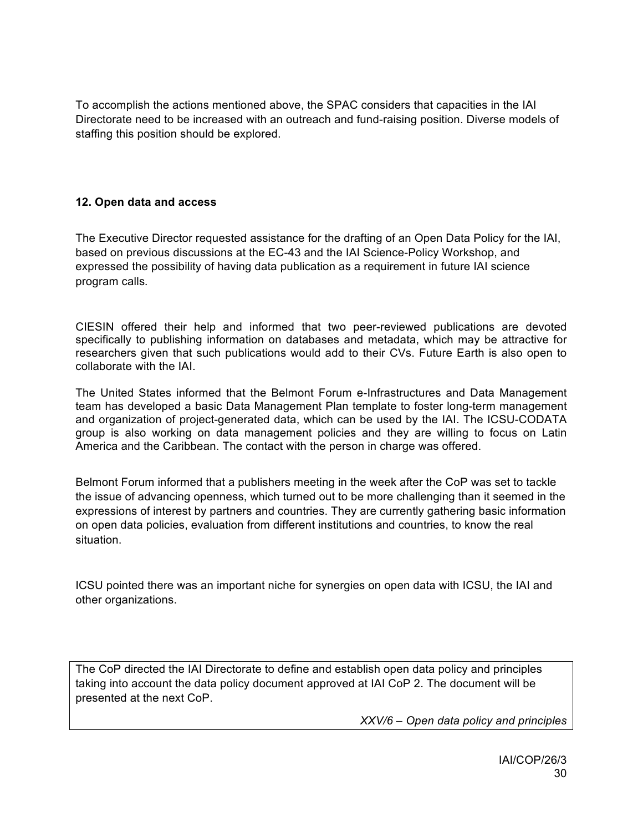To accomplish the actions mentioned above, the SPAC considers that capacities in the IAI Directorate need to be increased with an outreach and fund-raising position. Diverse models of staffing this position should be explored.

# **12. Open data and access**

The Executive Director requested assistance for the drafting of an Open Data Policy for the IAI, based on previous discussions at the EC-43 and the IAI Science-Policy Workshop, and expressed the possibility of having data publication as a requirement in future IAI science program calls*.*

CIESIN offered their help and informed that two peer-reviewed publications are devoted specifically to publishing information on databases and metadata, which may be attractive for researchers given that such publications would add to their CVs. Future Earth is also open to collaborate with the IAI.

The United States informed that the Belmont Forum e-Infrastructures and Data Management team has developed a basic Data Management Plan template to foster long-term management and organization of project-generated data, which can be used by the IAI. The ICSU-CODATA group is also working on data management policies and they are willing to focus on Latin America and the Caribbean. The contact with the person in charge was offered.

Belmont Forum informed that a publishers meeting in the week after the CoP was set to tackle the issue of advancing openness, which turned out to be more challenging than it seemed in the expressions of interest by partners and countries. They are currently gathering basic information on open data policies, evaluation from different institutions and countries, to know the real situation.

ICSU pointed there was an important niche for synergies on open data with ICSU, the IAI and other organizations.

The CoP directed the IAI Directorate to define and establish open data policy and principles taking into account the data policy document approved at IAI CoP 2. The document will be presented at the next CoP.

*XXV/6 – Open data policy and principles*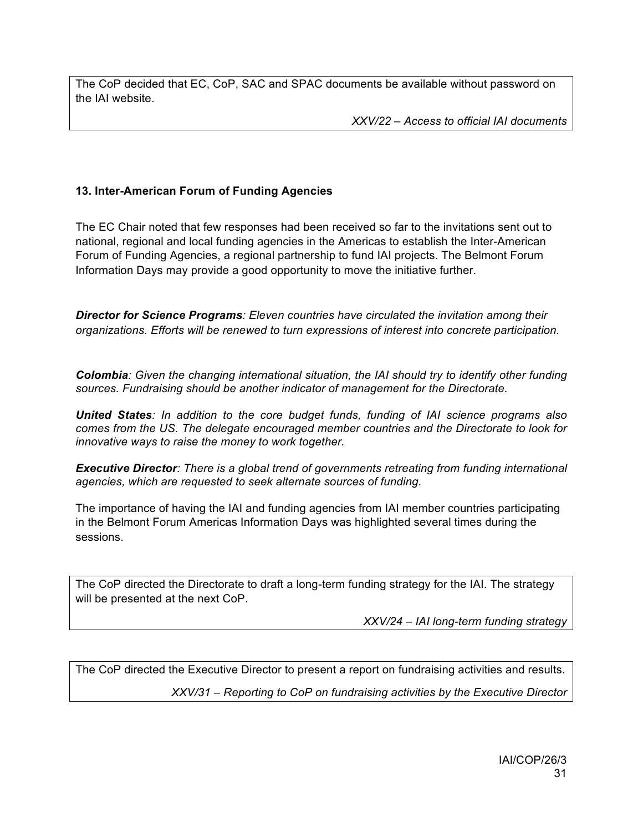The CoP decided that EC, CoP, SAC and SPAC documents be available without password on the IAI website.

*XXV/22 – Access to official IAI documents*

# **13. Inter-American Forum of Funding Agencies**

The EC Chair noted that few responses had been received so far to the invitations sent out to national, regional and local funding agencies in the Americas to establish the Inter-American Forum of Funding Agencies, a regional partnership to fund IAI projects. The Belmont Forum Information Days may provide a good opportunity to move the initiative further.

*Director for Science Programs: Eleven countries have circulated the invitation among their organizations. Efforts will be renewed to turn expressions of interest into concrete participation.*

*Colombia: Given the changing international situation, the IAI should try to identify other funding sources. Fundraising should be another indicator of management for the Directorate.*

*United States: In addition to the core budget funds, funding of IAI science programs also comes from the US. The delegate encouraged member countries and the Directorate to look for innovative ways to raise the money to work together.* 

*Executive Director: There is a global trend of governments retreating from funding international agencies, which are requested to seek alternate sources of funding.* 

The importance of having the IAI and funding agencies from IAI member countries participating in the Belmont Forum Americas Information Days was highlighted several times during the sessions.

The CoP directed the Directorate to draft a long-term funding strategy for the IAI. The strategy will be presented at the next CoP.

*XXV/24 – IAI long-term funding strategy*

The CoP directed the Executive Director to present a report on fundraising activities and results. *XXV/31 – Reporting to CoP on fundraising activities by the Executive Director*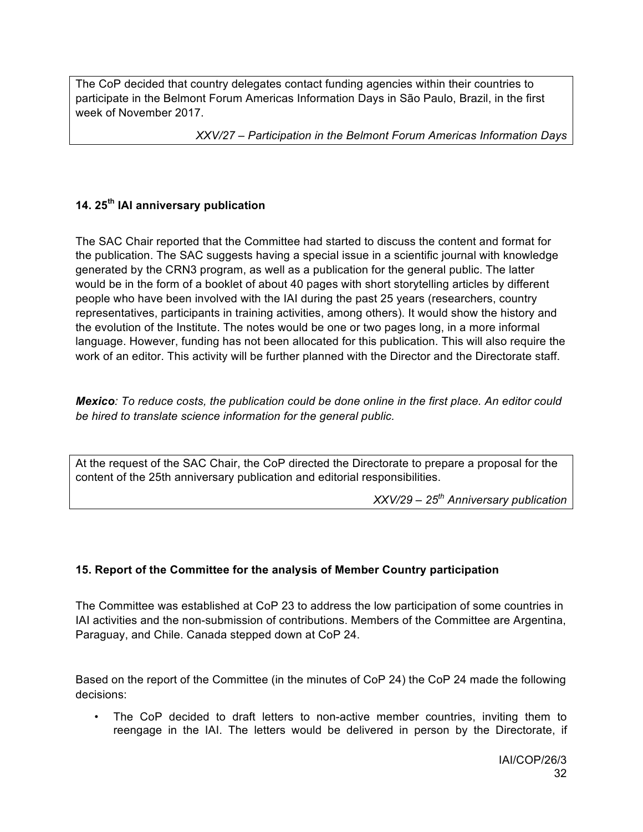The CoP decided that country delegates contact funding agencies within their countries to participate in the Belmont Forum Americas Information Days in São Paulo, Brazil, in the first week of November 2017.

*XXV/27 – Participation in the Belmont Forum Americas Information Days*

# **14. 25th IAI anniversary publication**

The SAC Chair reported that the Committee had started to discuss the content and format for the publication. The SAC suggests having a special issue in a scientific journal with knowledge generated by the CRN3 program, as well as a publication for the general public. The latter would be in the form of a booklet of about 40 pages with short storytelling articles by different people who have been involved with the IAI during the past 25 years (researchers, country representatives, participants in training activities, among others). It would show the history and the evolution of the Institute. The notes would be one or two pages long, in a more informal language. However, funding has not been allocated for this publication. This will also require the work of an editor. This activity will be further planned with the Director and the Directorate staff.

*Mexico: To reduce costs, the publication could be done online in the first place. An editor could be hired to translate science information for the general public.*

At the request of the SAC Chair, the CoP directed the Directorate to prepare a proposal for the content of the 25th anniversary publication and editorial responsibilities.

*XXV/29 – 25th Anniversary publication*

# **15. Report of the Committee for the analysis of Member Country participation**

The Committee was established at CoP 23 to address the low participation of some countries in IAI activities and the non-submission of contributions. Members of the Committee are Argentina, Paraguay, and Chile. Canada stepped down at CoP 24.

Based on the report of the Committee (in the minutes of CoP 24) the CoP 24 made the following decisions:

The CoP decided to draft letters to non-active member countries, inviting them to reengage in the IAI. The letters would be delivered in person by the Directorate, if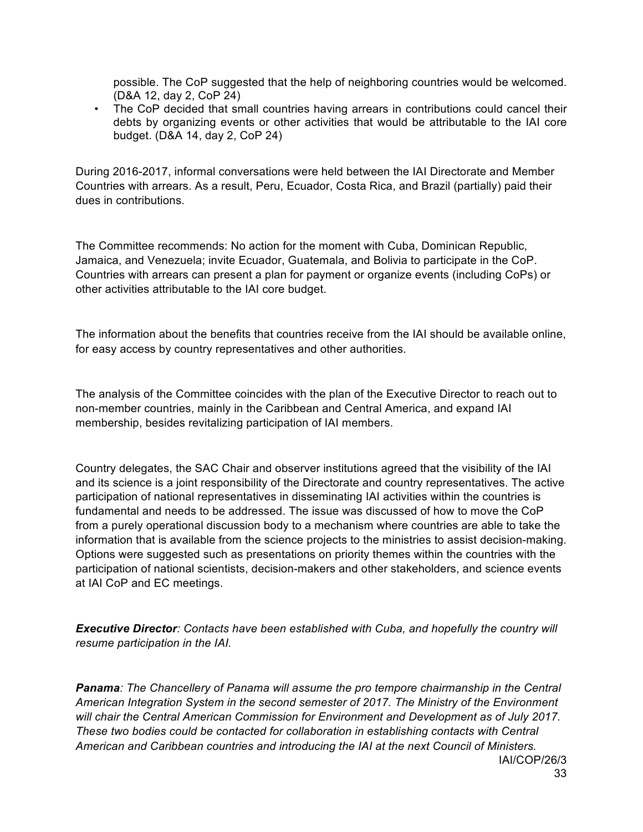possible. The CoP suggested that the help of neighboring countries would be welcomed. (D&A 12, day 2, CoP 24)

• The CoP decided that small countries having arrears in contributions could cancel their debts by organizing events or other activities that would be attributable to the IAI core budget. (D&A 14, day 2, CoP 24)

During 2016-2017, informal conversations were held between the IAI Directorate and Member Countries with arrears. As a result, Peru, Ecuador, Costa Rica, and Brazil (partially) paid their dues in contributions.

The Committee recommends: No action for the moment with Cuba, Dominican Republic, Jamaica, and Venezuela; invite Ecuador, Guatemala, and Bolivia to participate in the CoP. Countries with arrears can present a plan for payment or organize events (including CoPs) or other activities attributable to the IAI core budget.

The information about the benefits that countries receive from the IAI should be available online, for easy access by country representatives and other authorities.

The analysis of the Committee coincides with the plan of the Executive Director to reach out to non-member countries, mainly in the Caribbean and Central America, and expand IAI membership, besides revitalizing participation of IAI members.

Country delegates, the SAC Chair and observer institutions agreed that the visibility of the IAI and its science is a joint responsibility of the Directorate and country representatives. The active participation of national representatives in disseminating IAI activities within the countries is fundamental and needs to be addressed. The issue was discussed of how to move the CoP from a purely operational discussion body to a mechanism where countries are able to take the information that is available from the science projects to the ministries to assist decision-making. Options were suggested such as presentations on priority themes within the countries with the participation of national scientists, decision-makers and other stakeholders, and science events at IAI CoP and EC meetings.

*Executive Director: Contacts have been established with Cuba, and hopefully the country will resume participation in the IAI.* 

IAI/COP/26/3 *Panama: The Chancellery of Panama will assume the pro tempore chairmanship in the Central American Integration System in the second semester of 2017. The Ministry of the Environment will chair the Central American Commission for Environment and Development as of July 2017. These two bodies could be contacted for collaboration in establishing contacts with Central American and Caribbean countries and introducing the IAI at the next Council of Ministers.*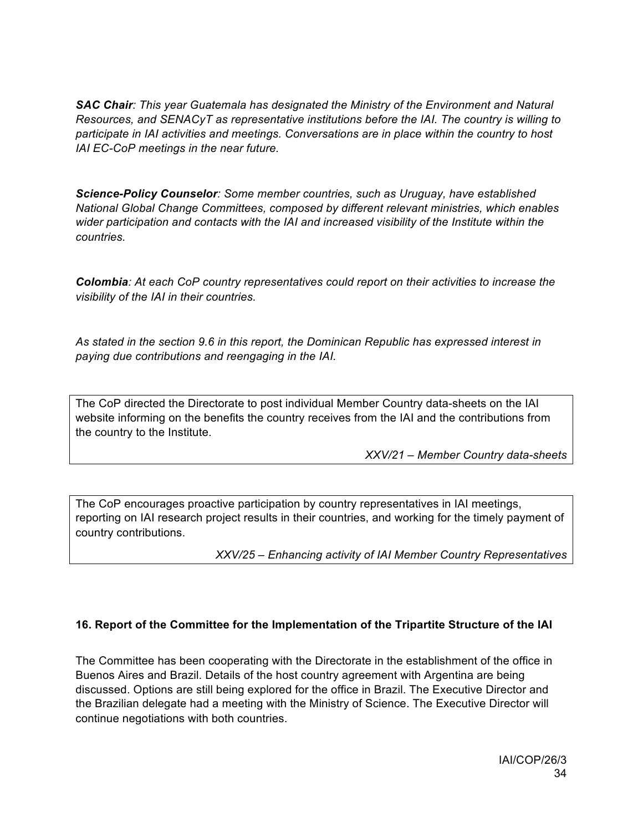*SAC Chair: This year Guatemala has designated the Ministry of the Environment and Natural Resources, and SENACyT as representative institutions before the IAI. The country is willing to participate in IAI activities and meetings. Conversations are in place within the country to host IAI EC-CoP meetings in the near future.*

*Science-Policy Counselor: Some member countries, such as Uruguay, have established National Global Change Committees, composed by different relevant ministries, which enables wider participation and contacts with the IAI and increased visibility of the Institute within the countries.* 

*Colombia: At each CoP country representatives could report on their activities to increase the visibility of the IAI in their countries.*

*As stated in the section 9.6 in this report, the Dominican Republic has expressed interest in paying due contributions and reengaging in the IAI.*

The CoP directed the Directorate to post individual Member Country data-sheets on the IAI website informing on the benefits the country receives from the IAI and the contributions from the country to the Institute.

*XXV/21 – Member Country data-sheets*

The CoP encourages proactive participation by country representatives in IAI meetings, reporting on IAI research project results in their countries, and working for the timely payment of country contributions.

*XXV/25 – Enhancing activity of IAI Member Country Representatives*

# **16. Report of the Committee for the Implementation of the Tripartite Structure of the IAI**

The Committee has been cooperating with the Directorate in the establishment of the office in Buenos Aires and Brazil. Details of the host country agreement with Argentina are being discussed. Options are still being explored for the office in Brazil. The Executive Director and the Brazilian delegate had a meeting with the Ministry of Science. The Executive Director will continue negotiations with both countries.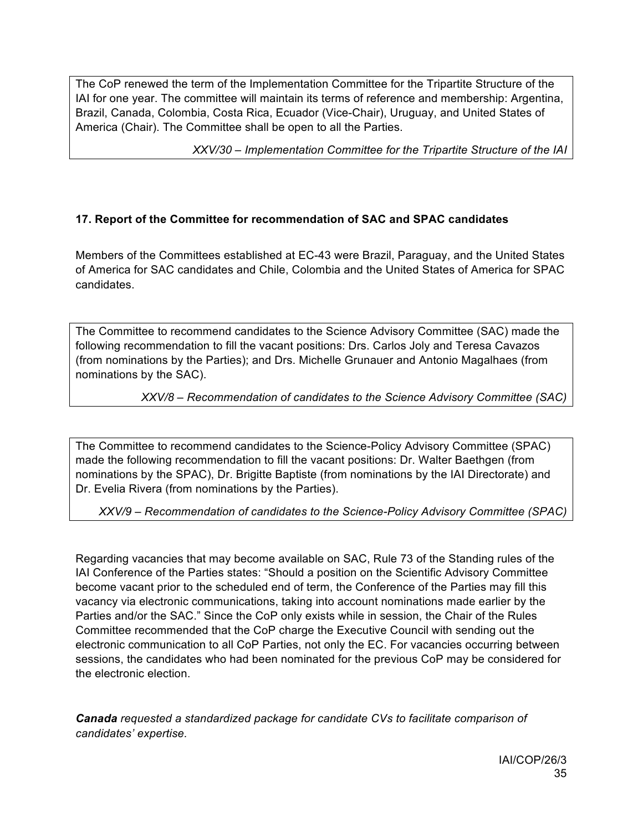The CoP renewed the term of the Implementation Committee for the Tripartite Structure of the IAI for one year. The committee will maintain its terms of reference and membership: Argentina, Brazil, Canada, Colombia, Costa Rica, Ecuador (Vice-Chair), Uruguay, and United States of America (Chair). The Committee shall be open to all the Parties.

*XXV/30 – Implementation Committee for the Tripartite Structure of the IAI*

# **17. Report of the Committee for recommendation of SAC and SPAC candidates**

Members of the Committees established at EC-43 were Brazil, Paraguay, and the United States of America for SAC candidates and Chile, Colombia and the United States of America for SPAC candidates.

The Committee to recommend candidates to the Science Advisory Committee (SAC) made the following recommendation to fill the vacant positions: Drs. Carlos Joly and Teresa Cavazos (from nominations by the Parties); and Drs. Michelle Grunauer and Antonio Magalhaes (from nominations by the SAC).

*XXV/8 – Recommendation of candidates to the Science Advisory Committee (SAC)*

The Committee to recommend candidates to the Science-Policy Advisory Committee (SPAC) made the following recommendation to fill the vacant positions: Dr. Walter Baethgen (from nominations by the SPAC), Dr. Brigitte Baptiste (from nominations by the IAI Directorate) and Dr. Evelia Rivera (from nominations by the Parties).

*XXV/9 – Recommendation of candidates to the Science-Policy Advisory Committee (SPAC)*

Regarding vacancies that may become available on SAC, Rule 73 of the Standing rules of the IAI Conference of the Parties states: "Should a position on the Scientific Advisory Committee become vacant prior to the scheduled end of term, the Conference of the Parties may fill this vacancy via electronic communications, taking into account nominations made earlier by the Parties and/or the SAC." Since the CoP only exists while in session, the Chair of the Rules Committee recommended that the CoP charge the Executive Council with sending out the electronic communication to all CoP Parties, not only the EC. For vacancies occurring between sessions, the candidates who had been nominated for the previous CoP may be considered for the electronic election.

*Canada requested a standardized package for candidate CVs to facilitate comparison of candidates' expertise.*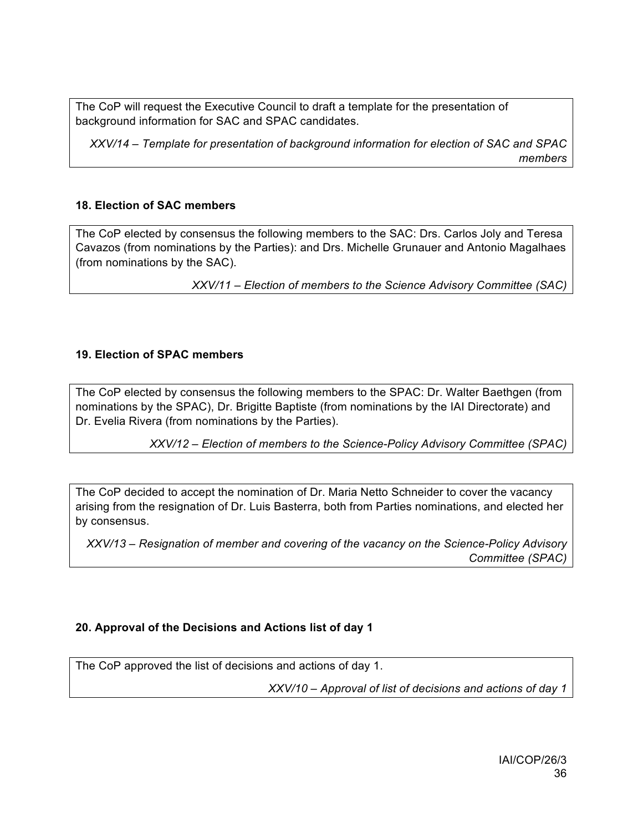The CoP will request the Executive Council to draft a template for the presentation of background information for SAC and SPAC candidates.

*XXV/14 – Template for presentation of background information for election of SAC and SPAC members*

# **18. Election of SAC members**

The CoP elected by consensus the following members to the SAC: Drs. Carlos Joly and Teresa Cavazos (from nominations by the Parties): and Drs. Michelle Grunauer and Antonio Magalhaes (from nominations by the SAC).

*XXV/11 – Election of members to the Science Advisory Committee (SAC)*

#### **19. Election of SPAC members**

The CoP elected by consensus the following members to the SPAC: Dr. Walter Baethgen (from nominations by the SPAC), Dr. Brigitte Baptiste (from nominations by the IAI Directorate) and Dr. Evelia Rivera (from nominations by the Parties).

*XXV/12 – Election of members to the Science-Policy Advisory Committee (SPAC)*

The CoP decided to accept the nomination of Dr. Maria Netto Schneider to cover the vacancy arising from the resignation of Dr. Luis Basterra, both from Parties nominations, and elected her by consensus.

*XXV/13 – Resignation of member and covering of the vacancy on the Science-Policy Advisory Committee (SPAC)*

# **20. Approval of the Decisions and Actions list of day 1**

The CoP approved the list of decisions and actions of day 1.

*XXV/10 – Approval of list of decisions and actions of day 1*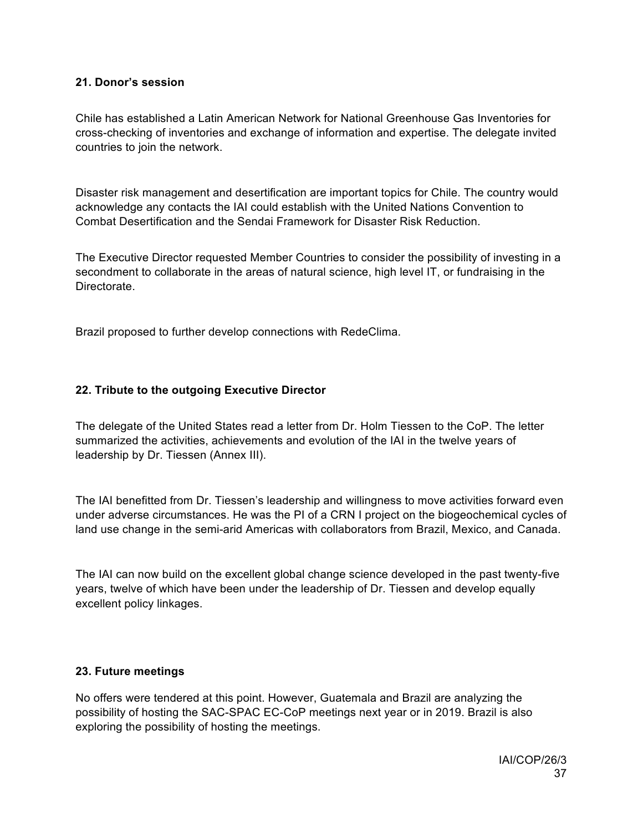#### **21. Donor's session**

Chile has established a Latin American Network for National Greenhouse Gas Inventories for cross-checking of inventories and exchange of information and expertise. The delegate invited countries to join the network.

Disaster risk management and desertification are important topics for Chile. The country would acknowledge any contacts the IAI could establish with the United Nations Convention to Combat Desertification and the Sendai Framework for Disaster Risk Reduction.

The Executive Director requested Member Countries to consider the possibility of investing in a secondment to collaborate in the areas of natural science, high level IT, or fundraising in the **Directorate** 

Brazil proposed to further develop connections with RedeClima.

#### **22. Tribute to the outgoing Executive Director**

The delegate of the United States read a letter from Dr. Holm Tiessen to the CoP. The letter summarized the activities, achievements and evolution of the IAI in the twelve years of leadership by Dr. Tiessen (Annex III).

The IAI benefitted from Dr. Tiessen's leadership and willingness to move activities forward even under adverse circumstances. He was the PI of a CRN I project on the biogeochemical cycles of land use change in the semi-arid Americas with collaborators from Brazil, Mexico, and Canada.

The IAI can now build on the excellent global change science developed in the past twenty-five years, twelve of which have been under the leadership of Dr. Tiessen and develop equally excellent policy linkages.

#### **23. Future meetings**

No offers were tendered at this point. However, Guatemala and Brazil are analyzing the possibility of hosting the SAC-SPAC EC-CoP meetings next year or in 2019. Brazil is also exploring the possibility of hosting the meetings.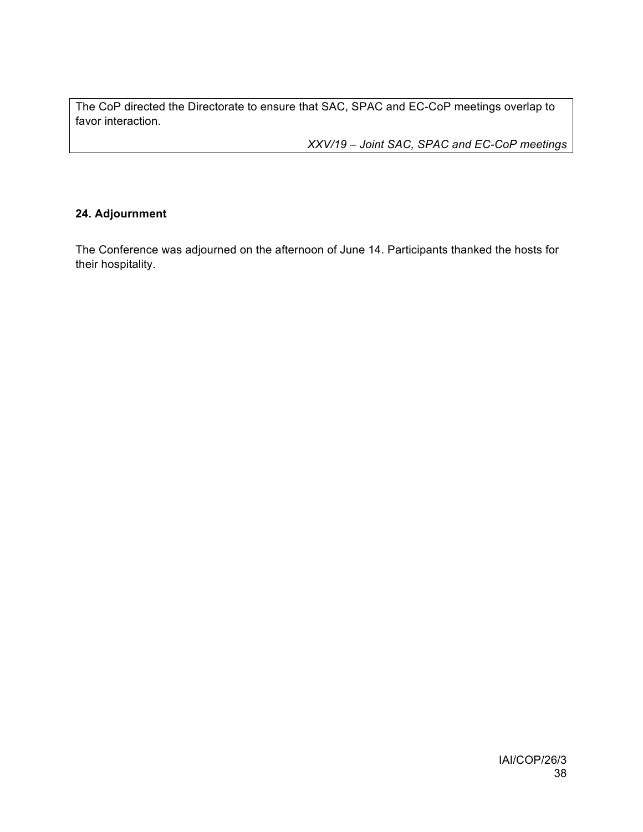The CoP directed the Directorate to ensure that SAC, SPAC and EC-CoP meetings overlap to favor interaction.

*XXV/19 – Joint SAC, SPAC and EC-CoP meetings*

# **24. Adjournment**

The Conference was adjourned on the afternoon of June 14. Participants thanked the hosts for their hospitality.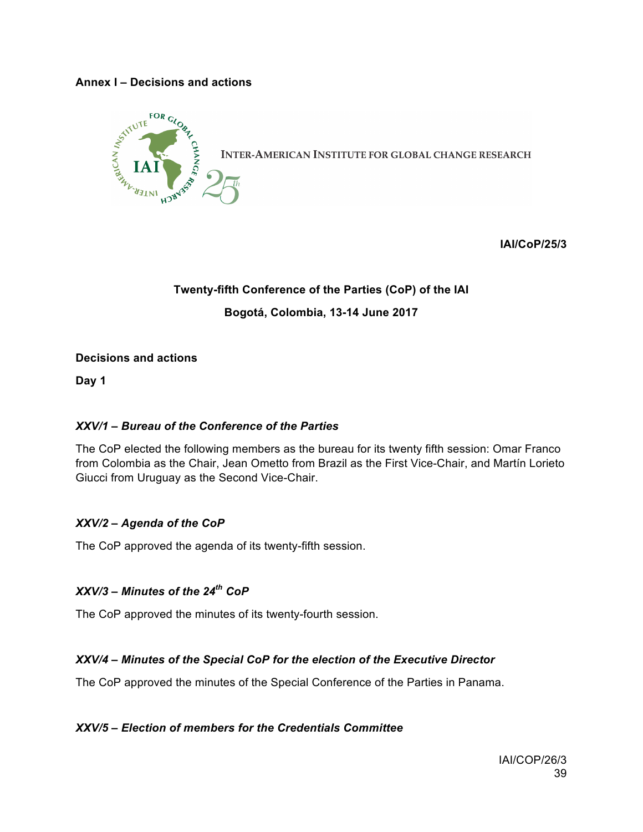#### **Annex I – Decisions and actions**



**IAI/CoP/25/3**

# **Twenty-fifth Conference of the Parties (CoP) of the IAI Bogotá, Colombia, 13-14 June 2017**

#### **Decisions and actions**

**Day 1**

# *XXV/1 – Bureau of the Conference of the Parties*

The CoP elected the following members as the bureau for its twenty fifth session: Omar Franco from Colombia as the Chair, Jean Ometto from Brazil as the First Vice-Chair, and Martín Lorieto Giucci from Uruguay as the Second Vice-Chair.

#### *XXV/2 – Agenda of the CoP*

The CoP approved the agenda of its twenty-fifth session.

# *XXV/3 – Minutes of the 24th CoP*

The CoP approved the minutes of its twenty-fourth session.

# *XXV/4 – Minutes of the Special CoP for the election of the Executive Director*

The CoP approved the minutes of the Special Conference of the Parties in Panama.

#### *XXV/5 – Election of members for the Credentials Committee*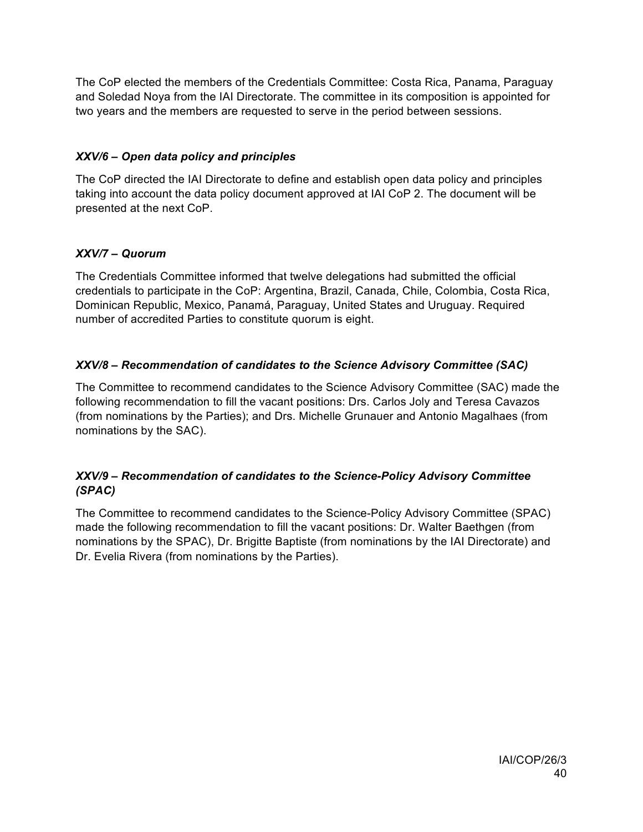The CoP elected the members of the Credentials Committee: Costa Rica, Panama, Paraguay and Soledad Noya from the IAI Directorate. The committee in its composition is appointed for two years and the members are requested to serve in the period between sessions.

# *XXV/6 – Open data policy and principles*

The CoP directed the IAI Directorate to define and establish open data policy and principles taking into account the data policy document approved at IAI CoP 2. The document will be presented at the next CoP.

# *XXV/7 – Quorum*

The Credentials Committee informed that twelve delegations had submitted the official credentials to participate in the CoP: Argentina, Brazil, Canada, Chile, Colombia, Costa Rica, Dominican Republic, Mexico, Panamá, Paraguay, United States and Uruguay. Required number of accredited Parties to constitute quorum is eight.

# *XXV/8 – Recommendation of candidates to the Science Advisory Committee (SAC)*

The Committee to recommend candidates to the Science Advisory Committee (SAC) made the following recommendation to fill the vacant positions: Drs. Carlos Joly and Teresa Cavazos (from nominations by the Parties); and Drs. Michelle Grunauer and Antonio Magalhaes (from nominations by the SAC).

# *XXV/9 – Recommendation of candidates to the Science-Policy Advisory Committee (SPAC)*

The Committee to recommend candidates to the Science-Policy Advisory Committee (SPAC) made the following recommendation to fill the vacant positions: Dr. Walter Baethgen (from nominations by the SPAC), Dr. Brigitte Baptiste (from nominations by the IAI Directorate) and Dr. Evelia Rivera (from nominations by the Parties).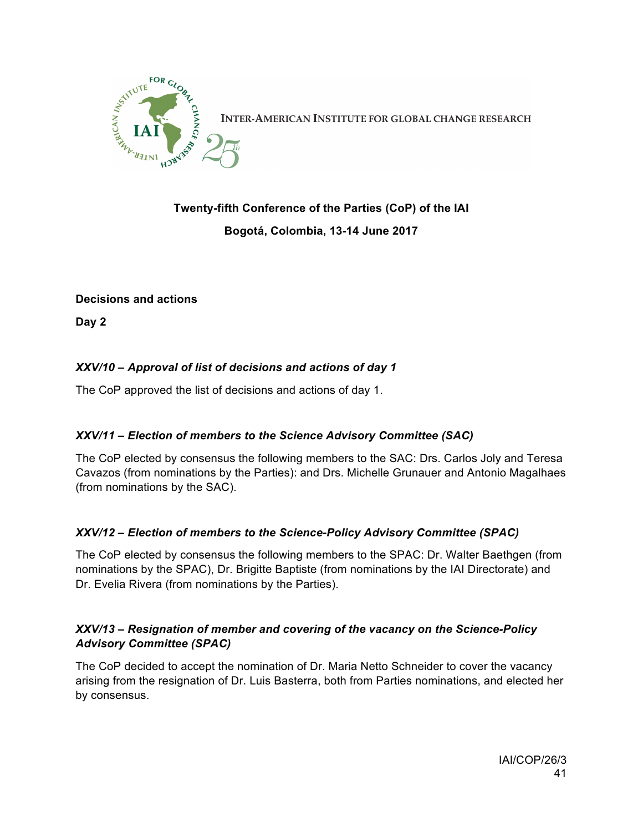

**INTER-AMERICAN INSTITUTE FOR GLOBAL CHANGE RESEARCH** 

# **Twenty-fifth Conference of the Parties (CoP) of the IAI Bogotá, Colombia, 13-14 June 2017**

#### **Decisions and actions**

**Day 2**

# *XXV/10 – Approval of list of decisions and actions of day 1*

The CoP approved the list of decisions and actions of day 1.

# *XXV/11 – Election of members to the Science Advisory Committee (SAC)*

The CoP elected by consensus the following members to the SAC: Drs. Carlos Joly and Teresa Cavazos (from nominations by the Parties): and Drs. Michelle Grunauer and Antonio Magalhaes (from nominations by the SAC).

# *XXV/12 – Election of members to the Science-Policy Advisory Committee (SPAC)*

The CoP elected by consensus the following members to the SPAC: Dr. Walter Baethgen (from nominations by the SPAC), Dr. Brigitte Baptiste (from nominations by the IAI Directorate) and Dr. Evelia Rivera (from nominations by the Parties).

#### *XXV/13 – Resignation of member and covering of the vacancy on the Science-Policy Advisory Committee (SPAC)*

The CoP decided to accept the nomination of Dr. Maria Netto Schneider to cover the vacancy arising from the resignation of Dr. Luis Basterra, both from Parties nominations, and elected her by consensus.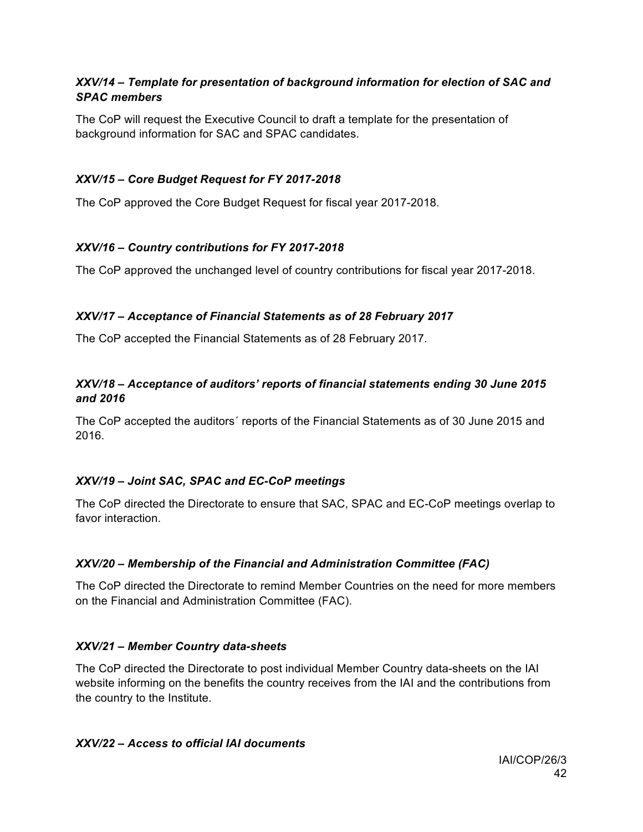# *XXV/14 – Template for presentation of background information for election of SAC and SPAC members*

The CoP will request the Executive Council to draft a template for the presentation of background information for SAC and SPAC candidates.

# *XXV/15 – Core Budget Request for FY 2017-2018*

The CoP approved the Core Budget Request for fiscal year 2017-2018.

# *XXV/16 – Country contributions for FY 2017-2018*

The CoP approved the unchanged level of country contributions for fiscal year 2017-2018.

# *XXV/17 – Acceptance of Financial Statements as of 28 February 2017*

The CoP accepted the Financial Statements as of 28 February 2017.

# *XXV/18 – Acceptance of auditors' reports of financial statements ending 30 June 2015 and 2016*

The CoP accepted the auditors´ reports of the Financial Statements as of 30 June 2015 and 2016.

# *XXV/19 – Joint SAC, SPAC and EC-CoP meetings*

The CoP directed the Directorate to ensure that SAC, SPAC and EC-CoP meetings overlap to favor interaction.

# *XXV/20 – Membership of the Financial and Administration Committee (FAC)*

The CoP directed the Directorate to remind Member Countries on the need for more members on the Financial and Administration Committee (FAC).

# *XXV/21 – Member Country data-sheets*

The CoP directed the Directorate to post individual Member Country data-sheets on the IAI website informing on the benefits the country receives from the IAI and the contributions from the country to the Institute.

# *XXV/22 – Access to official IAI documents*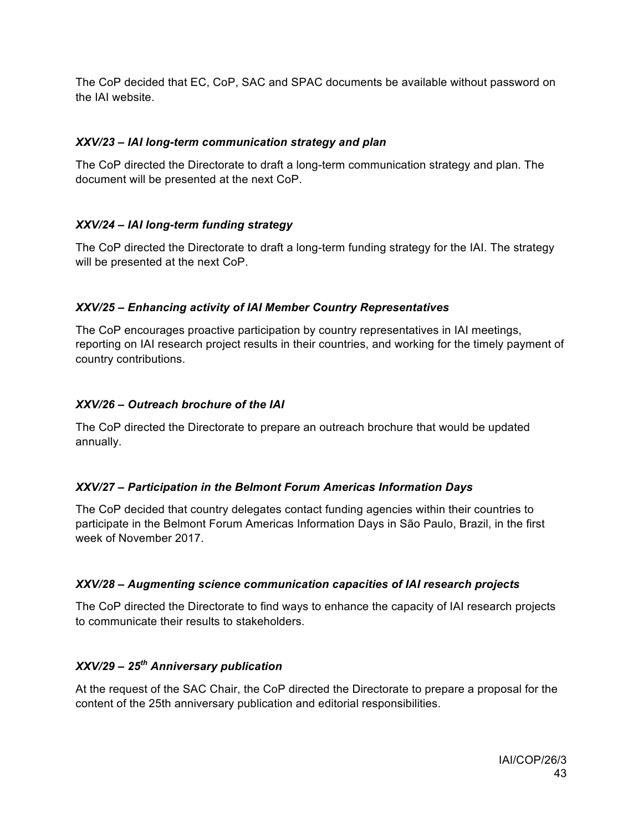The CoP decided that EC, CoP, SAC and SPAC documents be available without password on the IAI website.

# *XXV/23 – IAI long-term communication strategy and plan*

The CoP directed the Directorate to draft a long-term communication strategy and plan. The document will be presented at the next CoP.

# *XXV/24 – IAI long-term funding strategy*

The CoP directed the Directorate to draft a long-term funding strategy for the IAI. The strategy will be presented at the next CoP.

#### *XXV/25 – Enhancing activity of IAI Member Country Representatives*

The CoP encourages proactive participation by country representatives in IAI meetings, reporting on IAI research project results in their countries, and working for the timely payment of country contributions.

#### *XXV/26 – Outreach brochure of the IAI*

The CoP directed the Directorate to prepare an outreach brochure that would be updated annually.

#### *XXV/27 – Participation in the Belmont Forum Americas Information Days*

The CoP decided that country delegates contact funding agencies within their countries to participate in the Belmont Forum Americas Information Days in São Paulo, Brazil, in the first week of November 2017.

#### *XXV/28 – Augmenting science communication capacities of IAI research projects*

The CoP directed the Directorate to find ways to enhance the capacity of IAI research projects to communicate their results to stakeholders.

# *XXV/29 – 25th Anniversary publication*

At the request of the SAC Chair, the CoP directed the Directorate to prepare a proposal for the content of the 25th anniversary publication and editorial responsibilities.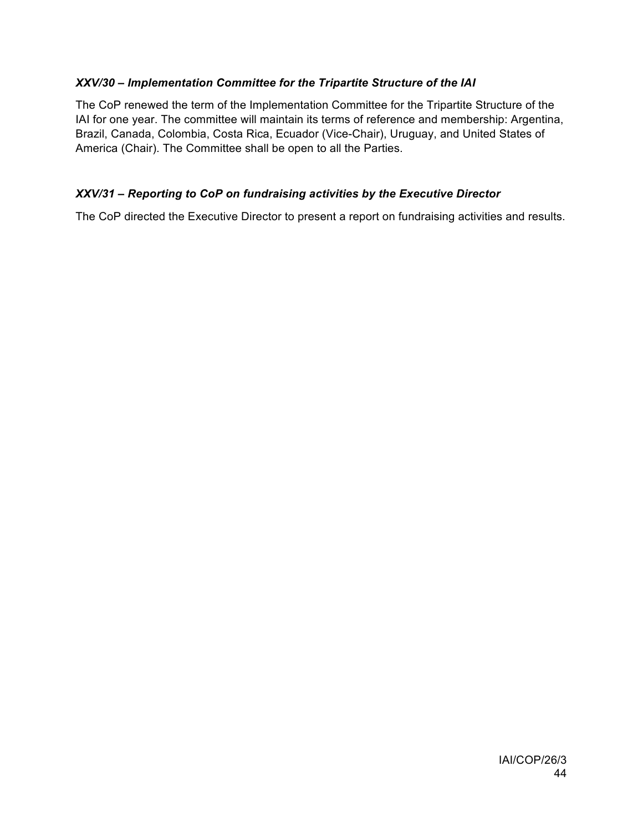# *XXV/30 – Implementation Committee for the Tripartite Structure of the IAI*

The CoP renewed the term of the Implementation Committee for the Tripartite Structure of the IAI for one year. The committee will maintain its terms of reference and membership: Argentina, Brazil, Canada, Colombia, Costa Rica, Ecuador (Vice-Chair), Uruguay, and United States of America (Chair). The Committee shall be open to all the Parties.

# *XXV/31 – Reporting to CoP on fundraising activities by the Executive Director*

The CoP directed the Executive Director to present a report on fundraising activities and results.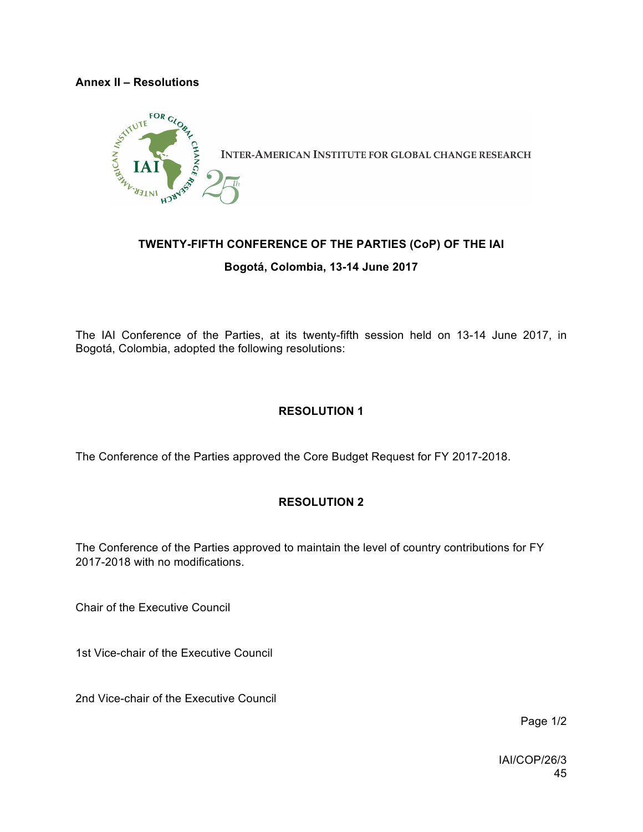#### **Annex II – Resolutions**



# **TWENTY-FIFTH CONFERENCE OF THE PARTIES (CoP) OF THE IAI**

**Bogotá, Colombia, 13-14 June 2017**

The IAI Conference of the Parties, at its twenty-fifth session held on 13-14 June 2017, in Bogotá, Colombia, adopted the following resolutions:

# **RESOLUTION 1**

The Conference of the Parties approved the Core Budget Request for FY 2017-2018.

# **RESOLUTION 2**

The Conference of the Parties approved to maintain the level of country contributions for FY 2017-2018 with no modifications.

Chair of the Executive Council

1st Vice-chair of the Executive Council

2nd Vice-chair of the Executive Council

Page 1/2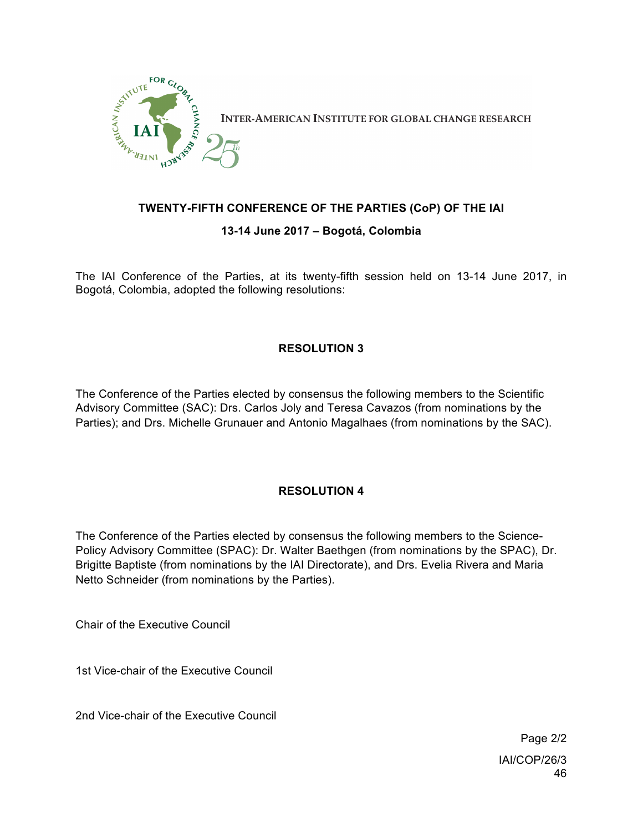

# **TWENTY-FIFTH CONFERENCE OF THE PARTIES (CoP) OF THE IAI**

#### **13-14 June 2017 – Bogotá, Colombia**

The IAI Conference of the Parties, at its twenty-fifth session held on 13-14 June 2017, in Bogotá, Colombia, adopted the following resolutions:

# **RESOLUTION 3**

The Conference of the Parties elected by consensus the following members to the Scientific Advisory Committee (SAC): Drs. Carlos Joly and Teresa Cavazos (from nominations by the Parties); and Drs. Michelle Grunauer and Antonio Magalhaes (from nominations by the SAC).

# **RESOLUTION 4**

The Conference of the Parties elected by consensus the following members to the Science-Policy Advisory Committee (SPAC): Dr. Walter Baethgen (from nominations by the SPAC), Dr. Brigitte Baptiste (from nominations by the IAI Directorate), and Drs. Evelia Rivera and Maria Netto Schneider (from nominations by the Parties).

Chair of the Executive Council

1st Vice-chair of the Executive Council

2nd Vice-chair of the Executive Council

IAI/COP/26/3 46 Page 2/2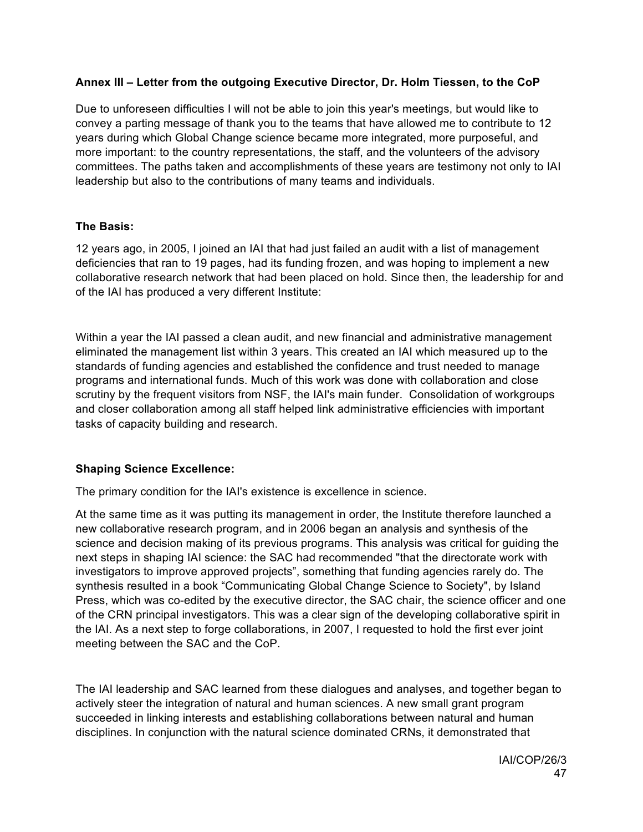# **Annex III – Letter from the outgoing Executive Director, Dr. Holm Tiessen, to the CoP**

Due to unforeseen difficulties I will not be able to join this year's meetings, but would like to convey a parting message of thank you to the teams that have allowed me to contribute to 12 years during which Global Change science became more integrated, more purposeful, and more important: to the country representations, the staff, and the volunteers of the advisory committees. The paths taken and accomplishments of these years are testimony not only to IAI leadership but also to the contributions of many teams and individuals.

#### **The Basis:**

12 years ago, in 2005, I joined an IAI that had just failed an audit with a list of management deficiencies that ran to 19 pages, had its funding frozen, and was hoping to implement a new collaborative research network that had been placed on hold. Since then, the leadership for and of the IAI has produced a very different Institute:

Within a year the IAI passed a clean audit, and new financial and administrative management eliminated the management list within 3 years. This created an IAI which measured up to the standards of funding agencies and established the confidence and trust needed to manage programs and international funds. Much of this work was done with collaboration and close scrutiny by the frequent visitors from NSF, the IAI's main funder. Consolidation of workgroups and closer collaboration among all staff helped link administrative efficiencies with important tasks of capacity building and research.

# **Shaping Science Excellence:**

The primary condition for the IAI's existence is excellence in science.

At the same time as it was putting its management in order, the Institute therefore launched a new collaborative research program, and in 2006 began an analysis and synthesis of the science and decision making of its previous programs. This analysis was critical for guiding the next steps in shaping IAI science: the SAC had recommended "that the directorate work with investigators to improve approved projects", something that funding agencies rarely do. The synthesis resulted in a book "Communicating Global Change Science to Society", by Island Press, which was co-edited by the executive director, the SAC chair, the science officer and one of the CRN principal investigators. This was a clear sign of the developing collaborative spirit in the IAI. As a next step to forge collaborations, in 2007, I requested to hold the first ever joint meeting between the SAC and the CoP.

The IAI leadership and SAC learned from these dialogues and analyses, and together began to actively steer the integration of natural and human sciences. A new small grant program succeeded in linking interests and establishing collaborations between natural and human disciplines. In conjunction with the natural science dominated CRNs, it demonstrated that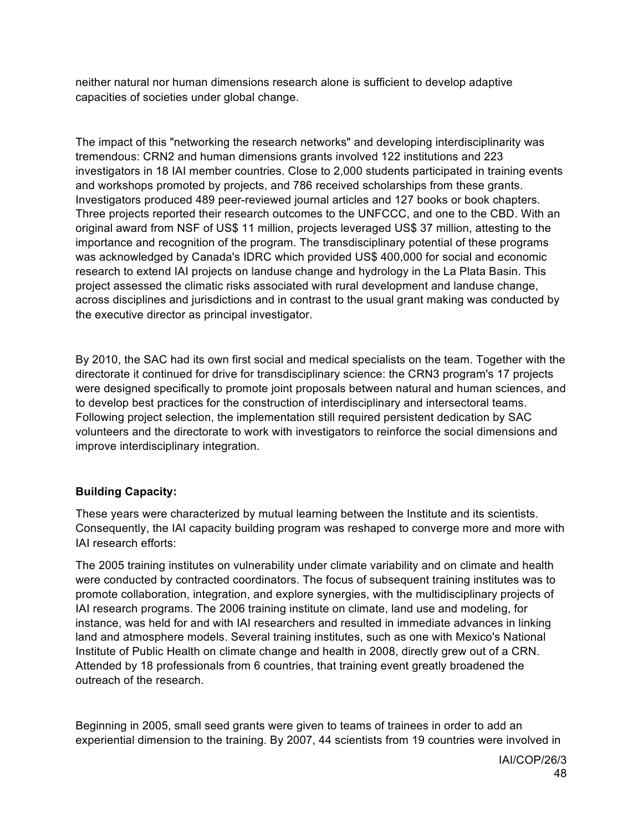neither natural nor human dimensions research alone is sufficient to develop adaptive capacities of societies under global change.

The impact of this "networking the research networks" and developing interdisciplinarity was tremendous: CRN2 and human dimensions grants involved 122 institutions and 223 investigators in 18 IAI member countries. Close to 2,000 students participated in training events and workshops promoted by projects, and 786 received scholarships from these grants. Investigators produced 489 peer-reviewed journal articles and 127 books or book chapters. Three projects reported their research outcomes to the UNFCCC, and one to the CBD. With an original award from NSF of US\$ 11 million, projects leveraged US\$ 37 million, attesting to the importance and recognition of the program. The transdisciplinary potential of these programs was acknowledged by Canada's IDRC which provided US\$ 400,000 for social and economic research to extend IAI projects on landuse change and hydrology in the La Plata Basin. This project assessed the climatic risks associated with rural development and landuse change, across disciplines and jurisdictions and in contrast to the usual grant making was conducted by the executive director as principal investigator.

By 2010, the SAC had its own first social and medical specialists on the team. Together with the directorate it continued for drive for transdisciplinary science: the CRN3 program's 17 projects were designed specifically to promote joint proposals between natural and human sciences, and to develop best practices for the construction of interdisciplinary and intersectoral teams. Following project selection, the implementation still required persistent dedication by SAC volunteers and the directorate to work with investigators to reinforce the social dimensions and improve interdisciplinary integration.

# **Building Capacity:**

These years were characterized by mutual learning between the Institute and its scientists. Consequently, the IAI capacity building program was reshaped to converge more and more with IAI research efforts:

The 2005 training institutes on vulnerability under climate variability and on climate and health were conducted by contracted coordinators. The focus of subsequent training institutes was to promote collaboration, integration, and explore synergies, with the multidisciplinary projects of IAI research programs. The 2006 training institute on climate, land use and modeling, for instance, was held for and with IAI researchers and resulted in immediate advances in linking land and atmosphere models. Several training institutes, such as one with Mexico's National Institute of Public Health on climate change and health in 2008, directly grew out of a CRN. Attended by 18 professionals from 6 countries, that training event greatly broadened the outreach of the research.

Beginning in 2005, small seed grants were given to teams of trainees in order to add an experiential dimension to the training. By 2007, 44 scientists from 19 countries were involved in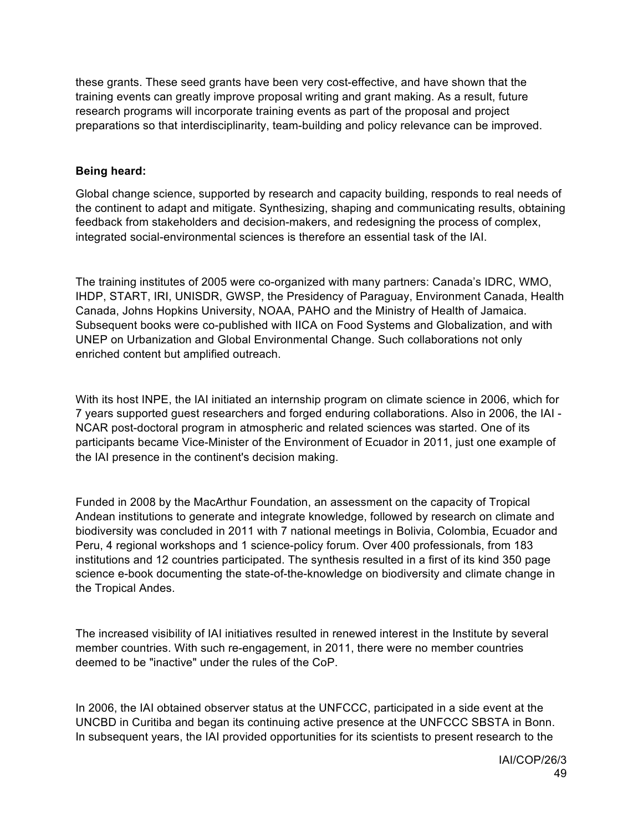these grants. These seed grants have been very cost-effective, and have shown that the training events can greatly improve proposal writing and grant making. As a result, future research programs will incorporate training events as part of the proposal and project preparations so that interdisciplinarity, team-building and policy relevance can be improved.

#### **Being heard:**

Global change science, supported by research and capacity building, responds to real needs of the continent to adapt and mitigate. Synthesizing, shaping and communicating results, obtaining feedback from stakeholders and decision-makers, and redesigning the process of complex, integrated social-environmental sciences is therefore an essential task of the IAI.

The training institutes of 2005 were co-organized with many partners: Canada's IDRC, WMO, IHDP, START, IRI, UNISDR, GWSP, the Presidency of Paraguay, Environment Canada, Health Canada, Johns Hopkins University, NOAA, PAHO and the Ministry of Health of Jamaica. Subsequent books were co-published with IICA on Food Systems and Globalization, and with UNEP on Urbanization and Global Environmental Change. Such collaborations not only enriched content but amplified outreach.

With its host INPE, the IAI initiated an internship program on climate science in 2006, which for 7 years supported guest researchers and forged enduring collaborations. Also in 2006, the IAI - NCAR post-doctoral program in atmospheric and related sciences was started. One of its participants became Vice-Minister of the Environment of Ecuador in 2011, just one example of the IAI presence in the continent's decision making.

Funded in 2008 by the MacArthur Foundation, an assessment on the capacity of Tropical Andean institutions to generate and integrate knowledge, followed by research on climate and biodiversity was concluded in 2011 with 7 national meetings in Bolivia, Colombia, Ecuador and Peru, 4 regional workshops and 1 science-policy forum. Over 400 professionals, from 183 institutions and 12 countries participated. The synthesis resulted in a first of its kind 350 page science e-book documenting the state-of-the-knowledge on biodiversity and climate change in the Tropical Andes.

The increased visibility of IAI initiatives resulted in renewed interest in the Institute by several member countries. With such re-engagement, in 2011, there were no member countries deemed to be "inactive" under the rules of the CoP.

In 2006, the IAI obtained observer status at the UNFCCC, participated in a side event at the UNCBD in Curitiba and began its continuing active presence at the UNFCCC SBSTA in Bonn. In subsequent years, the IAI provided opportunities for its scientists to present research to the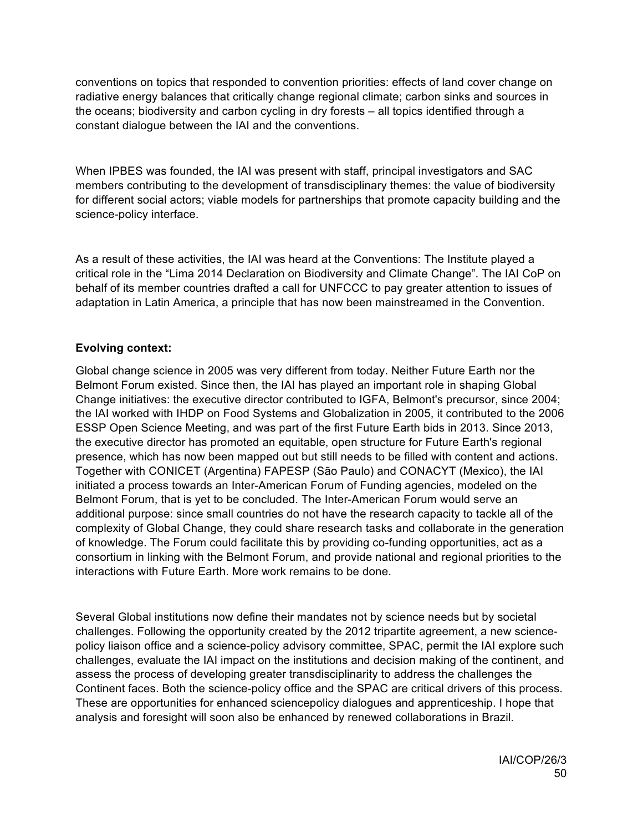conventions on topics that responded to convention priorities: effects of land cover change on radiative energy balances that critically change regional climate; carbon sinks and sources in the oceans; biodiversity and carbon cycling in dry forests – all topics identified through a constant dialogue between the IAI and the conventions.

When IPBES was founded, the IAI was present with staff, principal investigators and SAC members contributing to the development of transdisciplinary themes: the value of biodiversity for different social actors; viable models for partnerships that promote capacity building and the science-policy interface.

As a result of these activities, the IAI was heard at the Conventions: The Institute played a critical role in the "Lima 2014 Declaration on Biodiversity and Climate Change". The IAI CoP on behalf of its member countries drafted a call for UNFCCC to pay greater attention to issues of adaptation in Latin America, a principle that has now been mainstreamed in the Convention.

#### **Evolving context:**

Global change science in 2005 was very different from today. Neither Future Earth nor the Belmont Forum existed. Since then, the IAI has played an important role in shaping Global Change initiatives: the executive director contributed to IGFA, Belmont's precursor, since 2004; the IAI worked with IHDP on Food Systems and Globalization in 2005, it contributed to the 2006 ESSP Open Science Meeting, and was part of the first Future Earth bids in 2013. Since 2013, the executive director has promoted an equitable, open structure for Future Earth's regional presence, which has now been mapped out but still needs to be filled with content and actions. Together with CONICET (Argentina) FAPESP (São Paulo) and CONACYT (Mexico), the IAI initiated a process towards an Inter-American Forum of Funding agencies, modeled on the Belmont Forum, that is yet to be concluded. The Inter-American Forum would serve an additional purpose: since small countries do not have the research capacity to tackle all of the complexity of Global Change, they could share research tasks and collaborate in the generation of knowledge. The Forum could facilitate this by providing co-funding opportunities, act as a consortium in linking with the Belmont Forum, and provide national and regional priorities to the interactions with Future Earth. More work remains to be done.

Several Global institutions now define their mandates not by science needs but by societal challenges. Following the opportunity created by the 2012 tripartite agreement, a new sciencepolicy liaison office and a science-policy advisory committee, SPAC, permit the IAI explore such challenges, evaluate the IAI impact on the institutions and decision making of the continent, and assess the process of developing greater transdisciplinarity to address the challenges the Continent faces. Both the science-policy office and the SPAC are critical drivers of this process. These are opportunities for enhanced sciencepolicy dialogues and apprenticeship. I hope that analysis and foresight will soon also be enhanced by renewed collaborations in Brazil.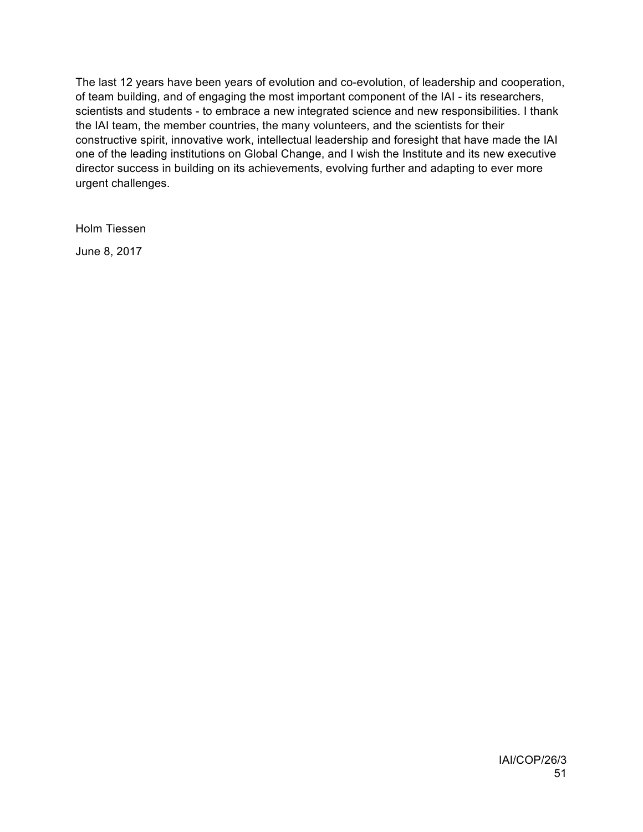The last 12 years have been years of evolution and co-evolution, of leadership and cooperation, of team building, and of engaging the most important component of the IAI - its researchers, scientists and students - to embrace a new integrated science and new responsibilities. I thank the IAI team, the member countries, the many volunteers, and the scientists for their constructive spirit, innovative work, intellectual leadership and foresight that have made the IAI one of the leading institutions on Global Change, and I wish the Institute and its new executive director success in building on its achievements, evolving further and adapting to ever more urgent challenges.

Holm Tiessen

June 8, 2017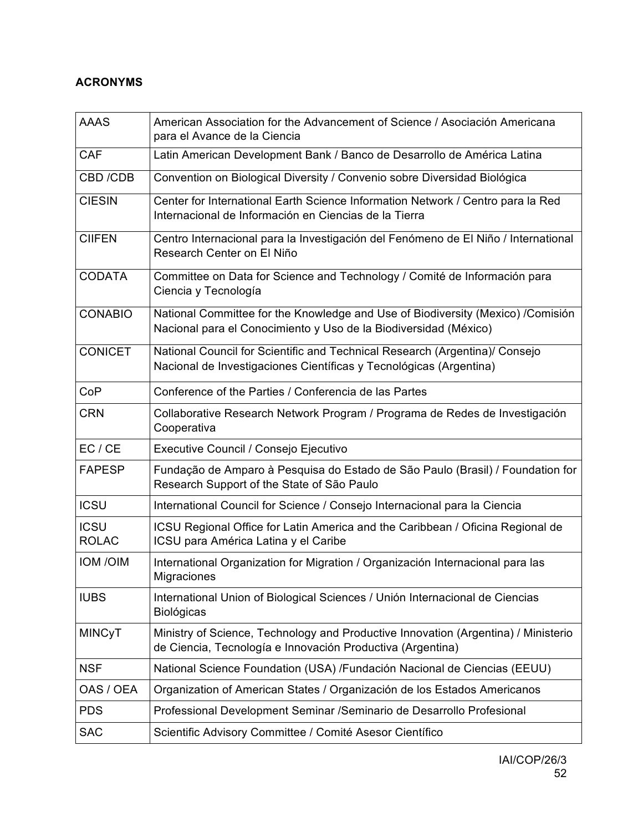# **ACRONYMS**

| <b>AAAS</b>                 | American Association for the Advancement of Science / Asociación Americana<br>para el Avance de la Ciencia                                          |
|-----------------------------|-----------------------------------------------------------------------------------------------------------------------------------------------------|
| <b>CAF</b>                  | Latin American Development Bank / Banco de Desarrollo de América Latina                                                                             |
| CBD /CDB                    | Convention on Biological Diversity / Convenio sobre Diversidad Biológica                                                                            |
| <b>CIESIN</b>               | Center for International Earth Science Information Network / Centro para la Red<br>Internacional de Información en Ciencias de la Tierra            |
| <b>CIIFEN</b>               | Centro Internacional para la Investigación del Fenómeno de El Niño / International<br>Research Center on El Niño                                    |
| <b>CODATA</b>               | Committee on Data for Science and Technology / Comité de Información para<br>Ciencia y Tecnología                                                   |
| <b>CONABIO</b>              | National Committee for the Knowledge and Use of Biodiversity (Mexico) /Comisión<br>Nacional para el Conocimiento y Uso de la Biodiversidad (México) |
| <b>CONICET</b>              | National Council for Scientific and Technical Research (Argentina)/ Consejo<br>Nacional de Investigaciones Científicas y Tecnológicas (Argentina)   |
| CoP                         | Conference of the Parties / Conferencia de las Partes                                                                                               |
| <b>CRN</b>                  | Collaborative Research Network Program / Programa de Redes de Investigación<br>Cooperativa                                                          |
| EC / CE                     | Executive Council / Consejo Ejecutivo                                                                                                               |
| <b>FAPESP</b>               | Fundação de Amparo à Pesquisa do Estado de São Paulo (Brasil) / Foundation for<br>Research Support of the State of São Paulo                        |
| <b>ICSU</b>                 | International Council for Science / Consejo Internacional para la Ciencia                                                                           |
| <b>ICSU</b><br><b>ROLAC</b> | ICSU Regional Office for Latin America and the Caribbean / Oficina Regional de<br>ICSU para América Latina y el Caribe                              |
| <b>IOM/OIM</b>              | International Organization for Migration / Organización Internacional para las<br>Migraciones                                                       |
| <b>IUBS</b>                 | International Union of Biological Sciences / Unión Internacional de Ciencias<br><b>Biológicas</b>                                                   |
| <b>MINCyT</b>               | Ministry of Science, Technology and Productive Innovation (Argentina) / Ministerio<br>de Ciencia, Tecnología e Innovación Productiva (Argentina)    |
| <b>NSF</b>                  | National Science Foundation (USA) /Fundación Nacional de Ciencias (EEUU)                                                                            |
| OAS / OEA                   | Organization of American States / Organización de los Estados Americanos                                                                            |
| <b>PDS</b>                  | Professional Development Seminar / Seminario de Desarrollo Profesional                                                                              |
| <b>SAC</b>                  | Scientific Advisory Committee / Comité Asesor Científico                                                                                            |